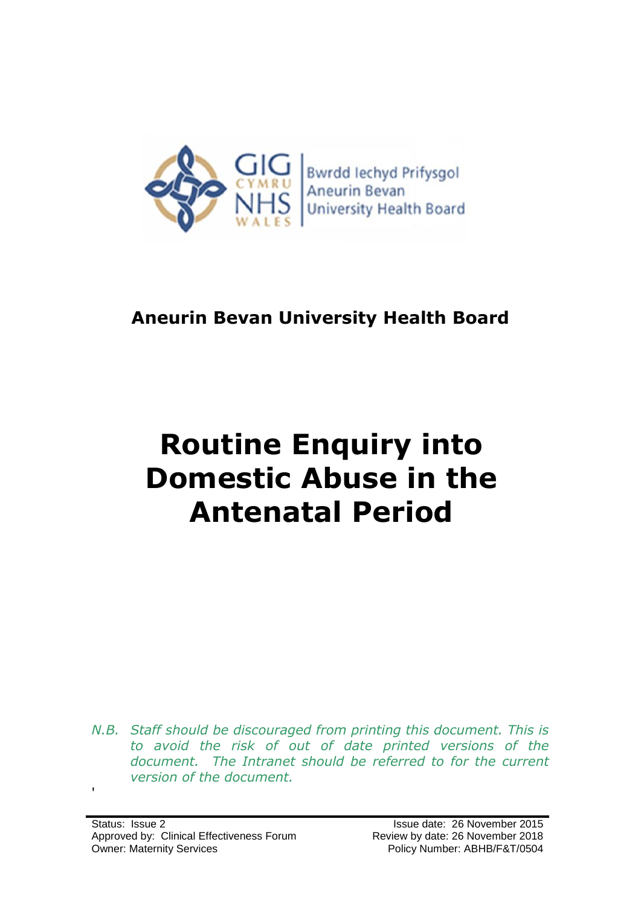

## **Aneurin Bevan University Health Board**

# **Routine Enquiry into Domestic Abuse in the Antenatal Period**

*N.B. Staff should be discouraged from printing this document. This is to avoid the risk of out of date printed versions of the document. The Intranet should be referred to for the current version of the document.*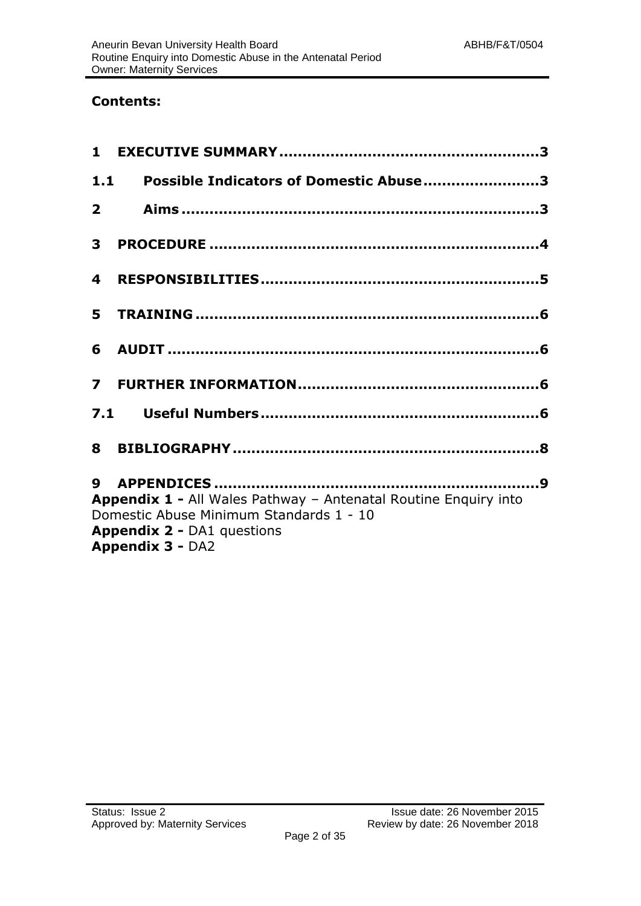### **Contents:**

| 1.1            | Possible Indicators of Domestic Abuse3                                                                                                                                     |
|----------------|----------------------------------------------------------------------------------------------------------------------------------------------------------------------------|
|                |                                                                                                                                                                            |
| 3 <sup>1</sup> |                                                                                                                                                                            |
| 4              |                                                                                                                                                                            |
|                |                                                                                                                                                                            |
|                |                                                                                                                                                                            |
|                |                                                                                                                                                                            |
|                |                                                                                                                                                                            |
|                |                                                                                                                                                                            |
|                | Appendix 1 - All Wales Pathway - Antenatal Routine Enquiry into<br>Domestic Abuse Minimum Standards 1 - 10<br><b>Appendix 2 - DA1 questions</b><br><b>Appendix 3 - DA2</b> |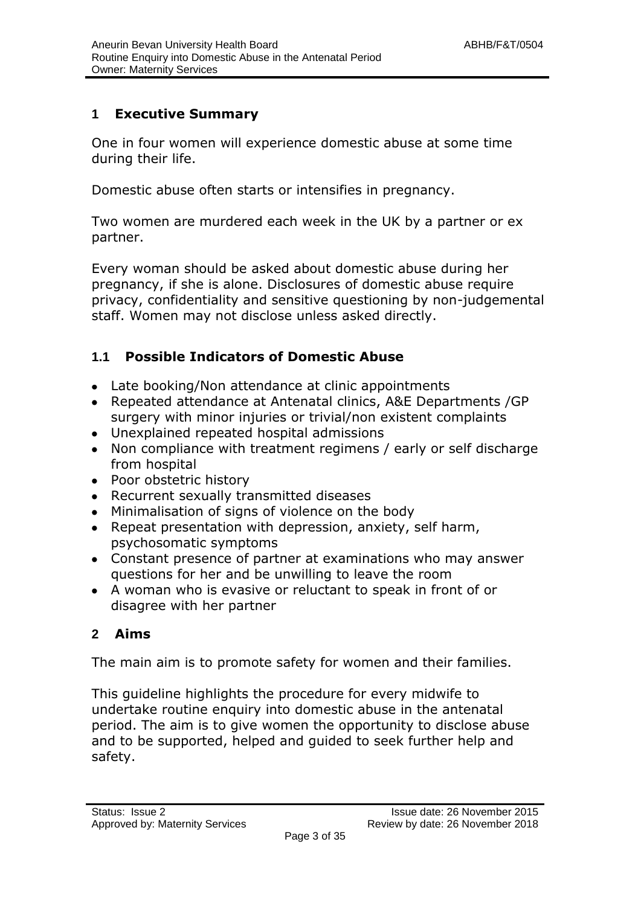#### **1 Executive Summary**

One in four women will experience domestic abuse at some time during their life.

Domestic abuse often starts or intensifies in pregnancy.

Two women are murdered each week in the UK by a partner or ex partner.

Every woman should be asked about domestic abuse during her pregnancy, if she is alone. Disclosures of domestic abuse require privacy, confidentiality and sensitive questioning by non-judgemental staff. Women may not disclose unless asked directly.

### **1.1 Possible Indicators of Domestic Abuse**

- Late booking/Non attendance at clinic appointments
- Repeated attendance at Antenatal clinics, A&E Departments /GP surgery with minor injuries or trivial/non existent complaints
- Unexplained repeated hospital admissions
- Non compliance with treatment regimens / early or self discharge from hospital
- Poor obstetric history
- Recurrent sexually transmitted diseases
- Minimalisation of signs of violence on the body
- Repeat presentation with depression, anxiety, self harm, psychosomatic symptoms
- Constant presence of partner at examinations who may answer questions for her and be unwilling to leave the room
- A woman who is evasive or reluctant to speak in front of or disagree with her partner

### **2 Aims**

The main aim is to promote safety for women and their families.

This guideline highlights the procedure for every midwife to undertake routine enquiry into domestic abuse in the antenatal period. The aim is to give women the opportunity to disclose abuse and to be supported, helped and guided to seek further help and safety.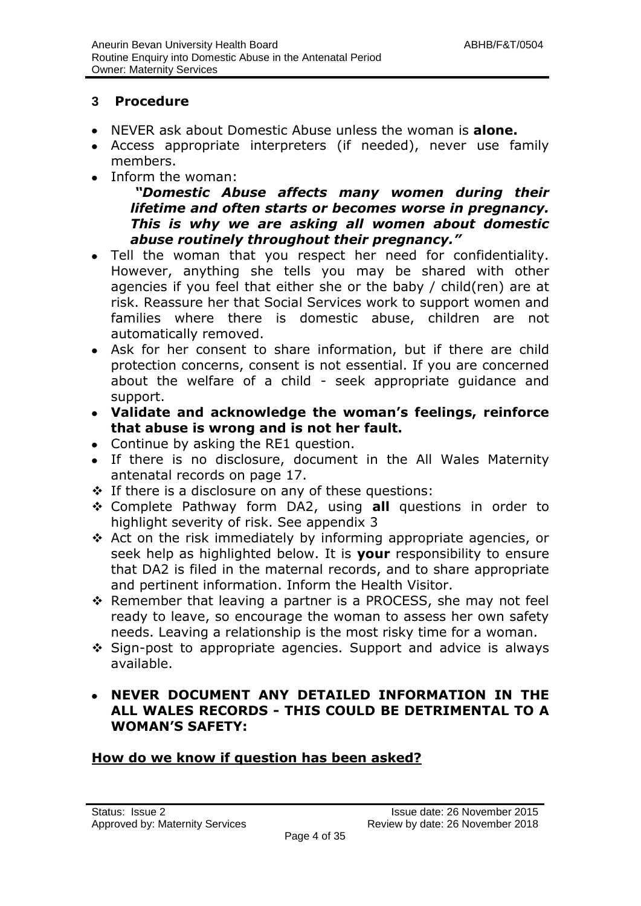#### **3 Procedure**

- NEVER ask about Domestic Abuse unless the woman is **alone.**
- Access appropriate interpreters (if needed), never use family members.
- Inform the woman:

#### *"Domestic Abuse affects many women during their lifetime and often starts or becomes worse in pregnancy. This is why we are asking all women about domestic abuse routinely throughout their pregnancy."*

- Tell the woman that you respect her need for confidentiality.  $\bullet$ However, anything she tells you may be shared with other agencies if you feel that either she or the baby / child(ren) are at risk. Reassure her that Social Services work to support women and families where there is domestic abuse, children are not automatically removed.
- Ask for her consent to share information, but if there are child protection concerns, consent is not essential. If you are concerned about the welfare of a child - seek appropriate guidance and support.
- **Validate and acknowledge the woman's feelings, reinforce that abuse is wrong and is not her fault.**
- Continue by asking the RE1 question.
- If there is no disclosure, document in the All Wales Maternity antenatal records on page 17.
- If there is a disclosure on any of these questions:
- Complete Pathway form DA2, using **all** questions in order to highlight severity of risk. See appendix 3
- Act on the risk immediately by informing appropriate agencies, or seek help as highlighted below. It is **your** responsibility to ensure that DA2 is filed in the maternal records, and to share appropriate and pertinent information. Inform the Health Visitor.
- $\div$  Remember that leaving a partner is a PROCESS, she may not feel ready to leave, so encourage the woman to assess her own safety needs. Leaving a relationship is the most risky time for a woman.
- Sign-post to appropriate agencies. Support and advice is always available.

#### **NEVER DOCUMENT ANY DETAILED INFORMATION IN THE ALL WALES RECORDS - THIS COULD BE DETRIMENTAL TO A WOMAN'S SAFETY:**

#### **How do we know if question has been asked?**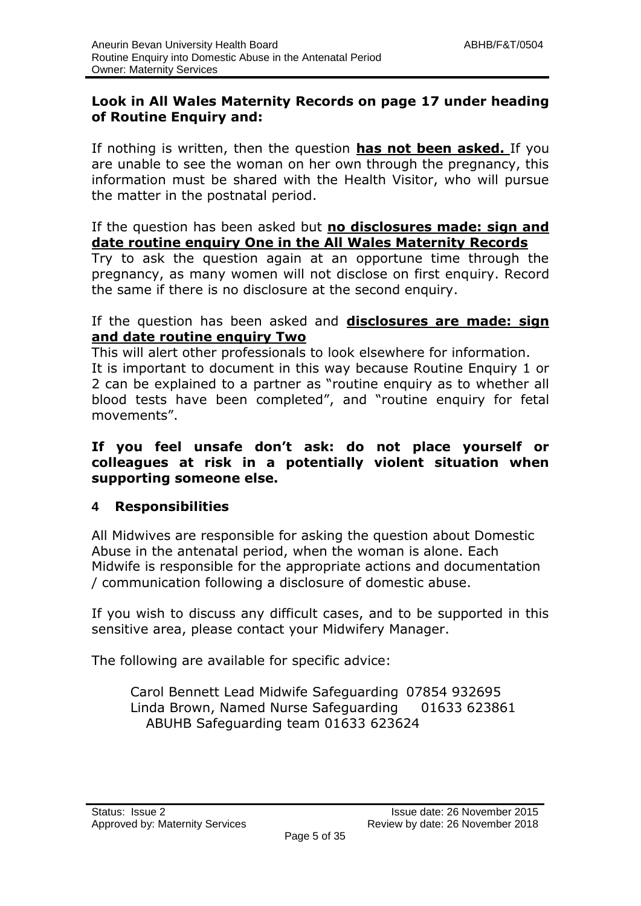#### **Look in All Wales Maternity Records on page 17 under heading of Routine Enquiry and:**

If nothing is written, then the question **has not been asked.** If you are unable to see the woman on her own through the pregnancy, this information must be shared with the Health Visitor, who will pursue the matter in the postnatal period.

#### If the question has been asked but **no disclosures made: sign and date routine enquiry One in the All Wales Maternity Records**

Try to ask the question again at an opportune time through the pregnancy, as many women will not disclose on first enquiry. Record the same if there is no disclosure at the second enquiry.

#### If the question has been asked and **disclosures are made: sign and date routine enquiry Two**

This will alert other professionals to look elsewhere for information. It is important to document in this way because Routine Enquiry 1 or 2 can be explained to a partner as "routine enquiry as to whether all blood tests have been completed", and "routine enquiry for fetal movements".

#### **If you feel unsafe don't ask: do not place yourself or colleagues at risk in a potentially violent situation when supporting someone else.**

### **4 Responsibilities**

All Midwives are responsible for asking the question about Domestic Abuse in the antenatal period, when the woman is alone. Each Midwife is responsible for the appropriate actions and documentation / communication following a disclosure of domestic abuse.

If you wish to discuss any difficult cases, and to be supported in this sensitive area, please contact your Midwifery Manager.

The following are available for specific advice:

Carol Bennett Lead Midwife Safeguarding 07854 932695 Linda Brown, Named Nurse Safeguarding 01633 623861 ABUHB Safeguarding team 01633 623624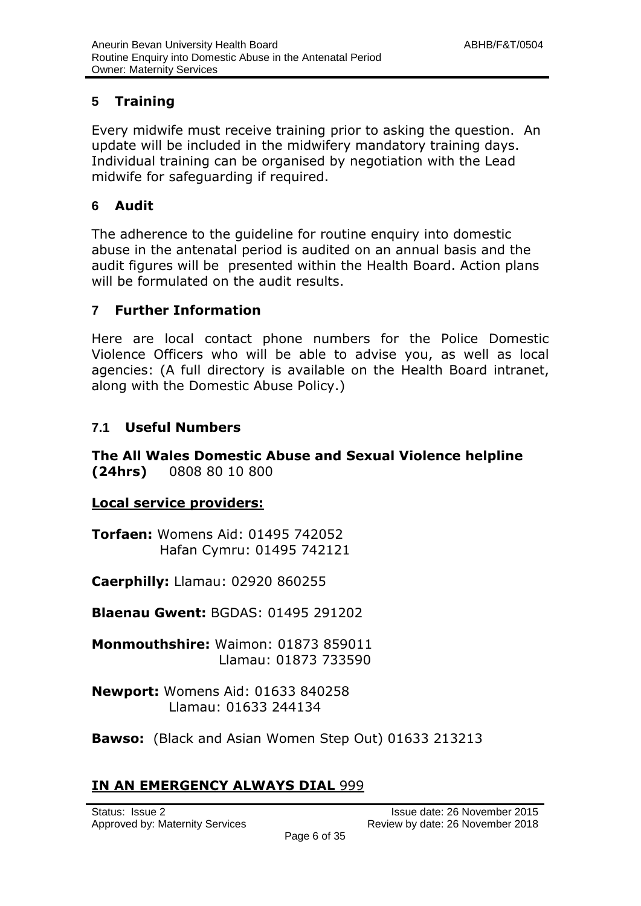#### **5 Training**

Every midwife must receive training prior to asking the question. An update will be included in the midwifery mandatory training days. Individual training can be organised by negotiation with the Lead midwife for safeguarding if required.

#### **6 Audit**

The adherence to the guideline for routine enquiry into domestic abuse in the antenatal period is audited on an annual basis and the audit figures will be presented within the Health Board. Action plans will be formulated on the audit results.

#### **7 Further Information**

Here are local contact phone numbers for the Police Domestic Violence Officers who will be able to advise you, as well as local agencies: (A full directory is available on the Health Board intranet, along with the Domestic Abuse Policy.)

### **7.1 Useful Numbers**

**The All Wales Domestic Abuse and Sexual Violence helpline (24hrs)** 0808 80 10 800

#### **Local service providers:**

**Torfaen:** Womens Aid: 01495 742052 Hafan Cymru: 01495 742121

**Caerphilly:** Llamau: 02920 860255

**Blaenau Gwent:** BGDAS: 01495 291202

**Monmouthshire:** Waimon: 01873 859011 Llamau: 01873 733590

**Newport:** Womens Aid: 01633 840258 Llamau: 01633 244134

**Bawso:** (Black and Asian Women Step Out) 01633 213213

### **IN AN EMERGENCY ALWAYS DIAL 999**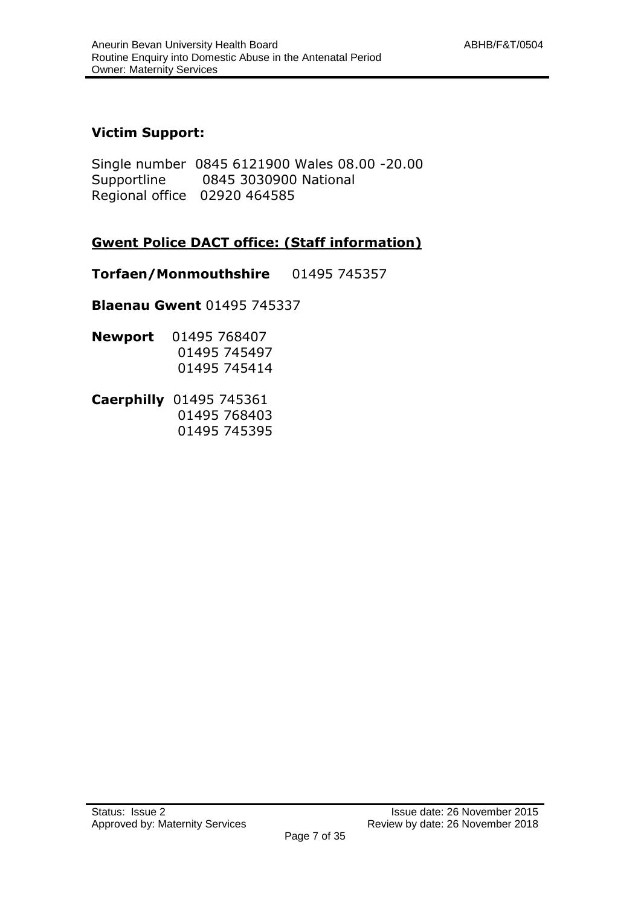#### **Victim Support:**

Single number 0845 6121900 Wales 08.00 -20.00 Supportline 0845 3030900 National Regional office 02920 464585

#### **Gwent Police DACT office: (Staff information)**

**Torfaen/Monmouthshire** 01495 745357

**Blaenau Gwent** 01495 745337

- **Newport** 01495 768407 01495 745497 01495 745414
- **Caerphilly** 01495 745361 01495 768403 01495 745395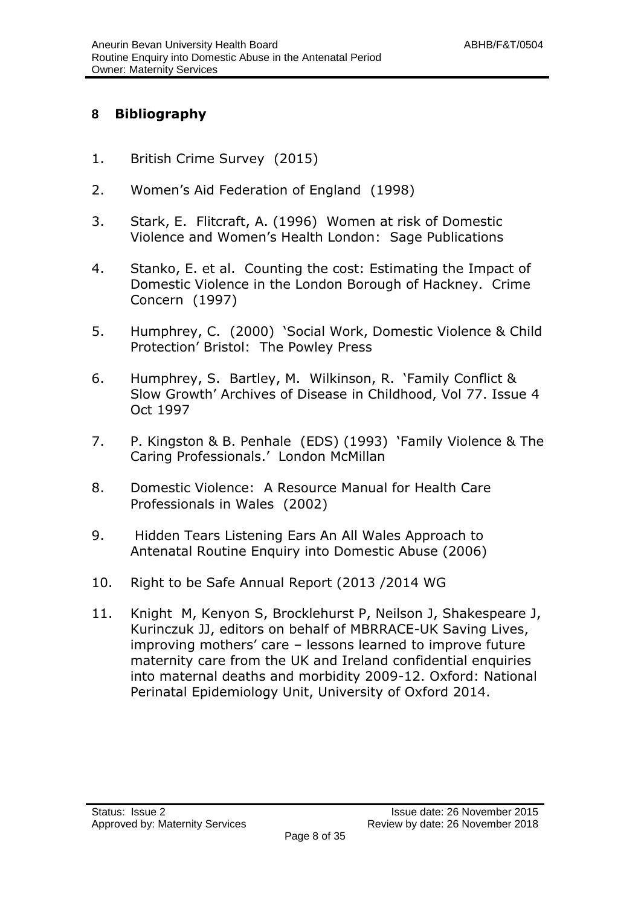#### **8 Bibliography**

- 1. British Crime Survey (2015)
- 2. Women's Aid Federation of England (1998)
- 3. Stark, E. Flitcraft, A. (1996) Women at risk of Domestic Violence and Women's Health London: Sage Publications
- 4. Stanko, E. et al. Counting the cost: Estimating the Impact of Domestic Violence in the London Borough of Hackney. Crime Concern (1997)
- 5. Humphrey, C. (2000) 'Social Work, Domestic Violence & Child Protection' Bristol: The Powley Press
- 6. Humphrey, S. Bartley, M. Wilkinson, R. 'Family Conflict & Slow Growth' Archives of Disease in Childhood, Vol 77. Issue 4 Oct 1997
- 7. P. Kingston & B. Penhale (EDS) (1993) 'Family Violence & The Caring Professionals.' London McMillan
- 8. Domestic Violence: A Resource Manual for Health Care Professionals in Wales (2002)
- 9. Hidden Tears Listening Ears An All Wales Approach to Antenatal Routine Enquiry into Domestic Abuse (2006)
- 10. Right to be Safe Annual Report (2013 /2014 WG
- 11. Knight M, Kenyon S, Brocklehurst P, Neilson J, Shakespeare J, Kurinczuk JJ, editors on behalf of MBRRACE-UK Saving Lives, improving mothers' care – lessons learned to improve future maternity care from the UK and Ireland confidential enquiries into maternal deaths and morbidity 2009-12. Oxford: National Perinatal Epidemiology Unit, University of Oxford 2014.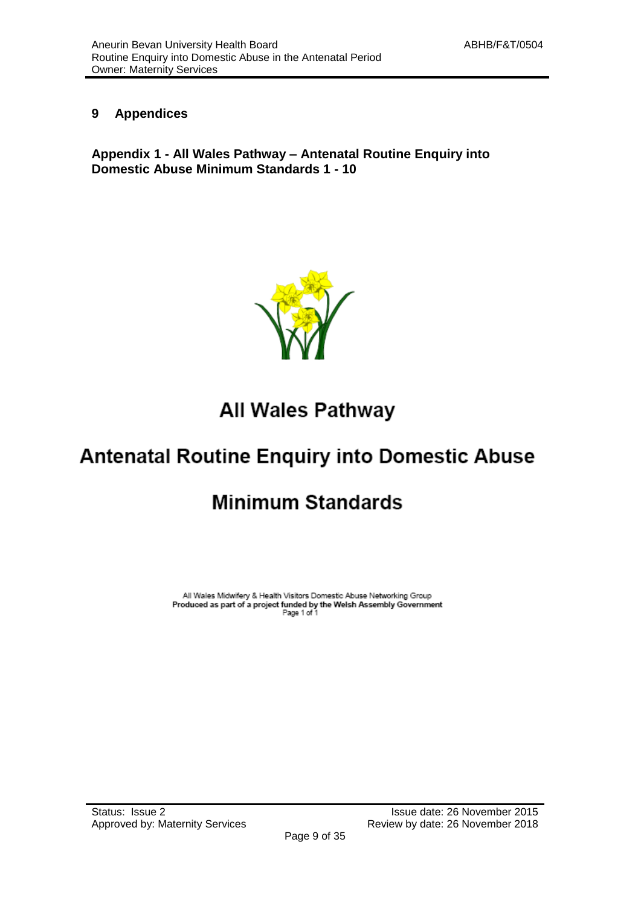#### **9 Appendices**

**Appendix 1 - All Wales Pathway – Antenatal Routine Enquiry into Domestic Abuse Minimum Standards 1 - 10**



## All Wales Pathway

## **Antenatal Routine Enquiry into Domestic Abuse**

## **Minimum Standards**

All Wales Midwifery & Health Visitors Domestic Abuse Networking Group Produced as part of a project funded by the Welsh Assembly Government<br>Produced as part of a project funded by the Welsh Assembly Government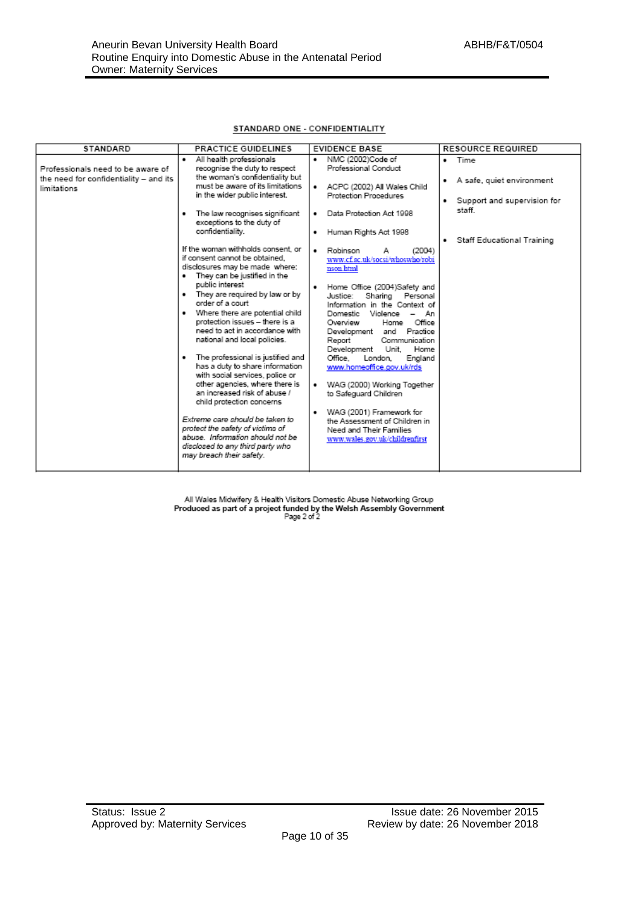#### STANDARD ONE - CONFIDENTIALITY

| STANDARD                                              | <b>PRACTICE GUIDELINES</b>                                                                                                                                              | <b>EVIDENCE BASE</b>                                                                                                               | <b>RESOURCE REQUIRED</b>                                           |
|-------------------------------------------------------|-------------------------------------------------------------------------------------------------------------------------------------------------------------------------|------------------------------------------------------------------------------------------------------------------------------------|--------------------------------------------------------------------|
| Professionals need to be aware of                     | All health professionals<br>recognise the duty to respect                                                                                                               | NMC (2002)Code of<br>٠<br>Professional Conduct                                                                                     | · Time                                                             |
| the need for confidentiality - and its<br>limitations | the woman's confidentiality but<br>must be aware of its limitations.<br>in the wider public interest.                                                                   | ACPC (2002) All Wales Child<br>٠<br>Protection Procedures                                                                          | A safe, quiet environment<br>٠<br>Support and supervision for<br>٠ |
|                                                       | The law recognises significant<br>٠<br>exceptions to the duty of                                                                                                        | Data Protection Act 1998<br>٠                                                                                                      | staff.                                                             |
|                                                       | confidentiality.                                                                                                                                                        | Human Rights Act 1998<br>٠                                                                                                         | Staff Educational Training                                         |
|                                                       | If the woman withholds consent, or<br>if consent cannot be obtained.<br>disclosures may be made where:<br>They can be justified in the                                  | (2004)<br>Robinson<br>٠<br>www.cf.ac.uk/socsi/whoswho/robi<br>nson html                                                            |                                                                    |
|                                                       | public interest<br>. They are required by law or by<br>order of a court.<br>Where there are potential child<br>protection issues - there is a                           | Home Office (2004)Safety and<br>٠<br>Justice:<br>Sharing Personal<br>Information in the Context of<br>Domestic<br>Violence -<br>An |                                                                    |
|                                                       | need to act in accordance with<br>national and local policies.                                                                                                          | Home Office<br>Overview<br>and Practice<br>Development<br>Communication<br>Report<br>Development<br>Unit.<br>Home                  |                                                                    |
|                                                       | The professional is justified and<br>٠<br>has a duty to share information<br>with social services, police or                                                            | Office.<br>London,<br>England<br>www.homeoffice.gov.uk/rds                                                                         |                                                                    |
|                                                       | other agencies, where there is<br>an increased risk of abuse /<br>child protection concerns                                                                             | WAG (2000) Working Together<br>٠<br>to Safeguard Children                                                                          |                                                                    |
|                                                       | Extreme care should be taken to<br>protect the safety of victims of<br>abuse. Information should not be<br>disclosed to any third party who<br>may breach their safety. | WAG (2001) Framework for<br>٠<br>the Assessment of Children in<br>Need and Their Families<br>www.wales.gov.uk/childrenfirst        |                                                                    |

All Wales Midwifery & Health Visitors Domestic Abuse Networking Group<br>Produced as part of a project funded by the Welsh Assembly Government<br>Page 2 of 2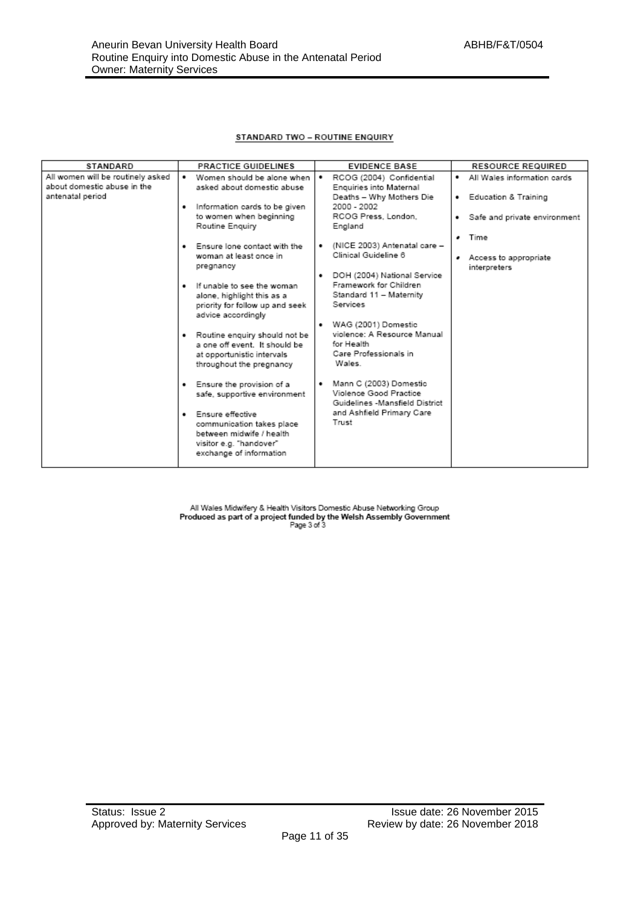#### **STANDARD TWO - ROUTINE ENQUIRY**

| STANDARD                                                         | <b>PRACTICE GUIDELINES</b>                                                                                                                                                                                                                                                                                                                                                                                                                                                                                                     | <b>EVIDENCE BASE</b>                                                                                                                                                                                                                                                                                                                                                                                             | <b>RESOURCE REQUIRED</b>                                      |
|------------------------------------------------------------------|--------------------------------------------------------------------------------------------------------------------------------------------------------------------------------------------------------------------------------------------------------------------------------------------------------------------------------------------------------------------------------------------------------------------------------------------------------------------------------------------------------------------------------|------------------------------------------------------------------------------------------------------------------------------------------------------------------------------------------------------------------------------------------------------------------------------------------------------------------------------------------------------------------------------------------------------------------|---------------------------------------------------------------|
| All women will be routinely asked<br>about domestic abuse in the | Women should be alone when<br>٠<br>asked about domestic abuse                                                                                                                                                                                                                                                                                                                                                                                                                                                                  | ٠<br>RCOG (2004) Confidential<br>Enquiries into Maternal                                                                                                                                                                                                                                                                                                                                                         | . All Wales information cards                                 |
| antenatal period                                                 | . Information cards to be given<br>to women when beginning<br>Routine Enquiry                                                                                                                                                                                                                                                                                                                                                                                                                                                  | Deaths - Why Mothers Die<br>2000 - 2002<br>RCOG Press, London.                                                                                                                                                                                                                                                                                                                                                   | • Education & Training<br>Safe and private environment<br>. . |
|                                                                  | . Ensure lone contact with the<br>woman at least once in<br>pregnancy<br>. If unable to see the woman<br>alone, highlight this as a<br>priority for follow up and seek<br>advice accordingly<br>. Routine enquiry should not be<br>a one off event. It should be<br>at opportunistic intervals<br>throughout the pregnancy<br>• Ensure the provision of a<br>safe, supportive environment<br>· Ensure effective<br>communication takes place<br>between midwife / health<br>visitor e.g. "handover"<br>exchange of information | England<br>(NICE 2003) Antenatal care -<br>٠<br>Clinical Guideline 6<br>• DOH (2004) National Service<br>Framework for Children<br>Standard 11 - Maternity<br>Services<br>• WAG (2001) Domestic<br>violence: A Resource Manual<br>for Health<br>Care Professionals in<br>Wales.<br>Mann C (2003) Domestic<br>٠<br>Violence Good Practice<br>Guidelines -Mansfield District<br>and Ashfield Primary Care<br>Trust | · Time<br>Access to appropriate<br>interpreters               |

All Wales Midwifery & Health Visitors Domestic Abuse Networking Group<br>Produced as part of a project funded by the Welsh Assembly Government<br>Page 3 of 3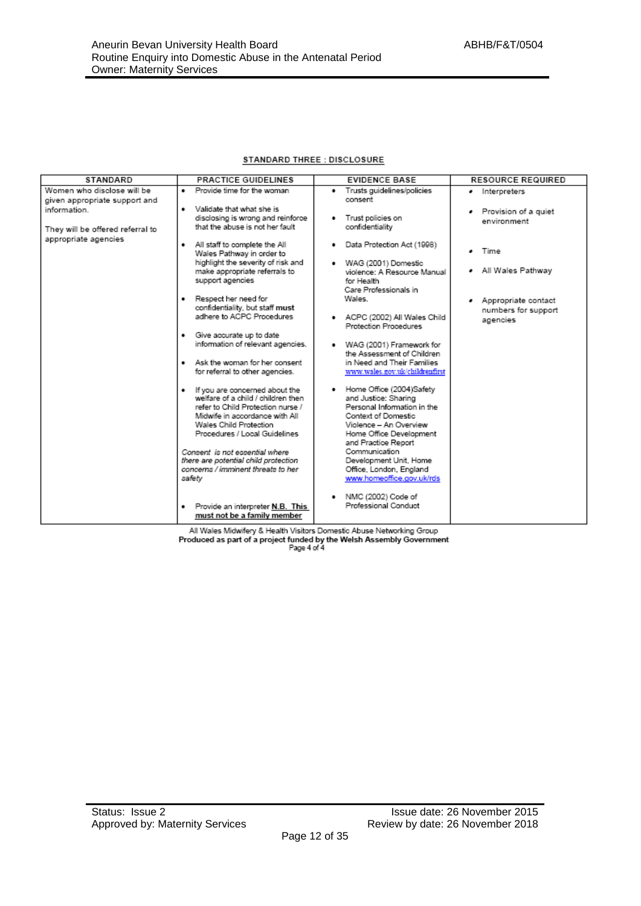#### STANDARD THREE : DISCLOSURE

| <b>STANDARD</b>                                                                                                                         | <b>PRACTICE GUIDELINES</b>                                                                                                                                                                                                                                                                                                                                                                                                                                                                                                                                                                                                                                              | <b>EVIDENCE BASE</b>                                                                                                                                                                                                                                                                                                                                                                                                                                                                                                                                                     | <b>RESOURCE REQUIRED</b>                                                               |
|-----------------------------------------------------------------------------------------------------------------------------------------|-------------------------------------------------------------------------------------------------------------------------------------------------------------------------------------------------------------------------------------------------------------------------------------------------------------------------------------------------------------------------------------------------------------------------------------------------------------------------------------------------------------------------------------------------------------------------------------------------------------------------------------------------------------------------|--------------------------------------------------------------------------------------------------------------------------------------------------------------------------------------------------------------------------------------------------------------------------------------------------------------------------------------------------------------------------------------------------------------------------------------------------------------------------------------------------------------------------------------------------------------------------|----------------------------------------------------------------------------------------|
| Women who disclose will be<br>given appropriate support and<br>information.<br>They will be offered referral to<br>appropriate agencies | Provide time for the woman<br>٠<br>Validate that what she is<br>٠<br>disclosing is wrong and reinforce<br>that the abuse is not her fault<br>All staff to complete the All<br>٠<br>Wales Pathway in order to<br>highlight the severity of risk and<br>make appropriate referrals to                                                                                                                                                                                                                                                                                                                                                                                     | · Trusts guidelines/policies<br>consent<br>Trust policies on<br>٠<br>confidentiality<br>Data Protection Act (1998)<br>٠<br>· WAG (2001) Domestic<br>violence: A Resource Manual                                                                                                                                                                                                                                                                                                                                                                                          | · Interpreters<br>· Provision of a quiet<br>environment<br>Time<br>. All Wales Pathway |
|                                                                                                                                         | support agencies<br>· Respect her need for<br>confidentiality, but staff must<br>adhere to ACPC Procedures<br>Give accurate up to date<br>٠<br>information of relevant agencies.<br>Ask the woman for her consent<br>٠<br>for referral to other agencies.<br>. If you are concerned about the<br>welfare of a child / children then<br>refer to Child Protection nurse /<br>Midwife in accordance with All<br>Wales Child Protection<br>Procedures / Local Guidelines<br>Consent is not essential where<br>there are potential child protection<br>concerns / imminent threats to her<br>safety<br>Provide an interpreter N.B. This<br>٠<br>must not be a family member | for Health<br>Care Professionals in<br>Wales.<br>· ACPC (2002) All Wales Child<br>Protection Procedures<br>WAG (2001) Framework for<br>the Assessment of Children<br>in Need and Their Families<br>www.wales.gov.uk/childrenfirst<br>Home Office (2004)Safety<br>and Justice: Sharing<br>Personal Information in the<br>Context of Domestic<br>Violence - An Overview<br>Home Office Development<br>and Practice Report<br>Communication<br>Development Unit, Home<br>Office, London, England<br>www.homeoffice.gov.uk/rds<br>NMC (2002) Code of<br>Professional Conduct | Appropriate contact<br>numbers for support<br>agencies                                 |

All Wales Midwifery & Health Visitors Domestic Abuse Networking Group<br>Produced as part of a project funded by the Welsh Assembly Government<br>Page 4 of 4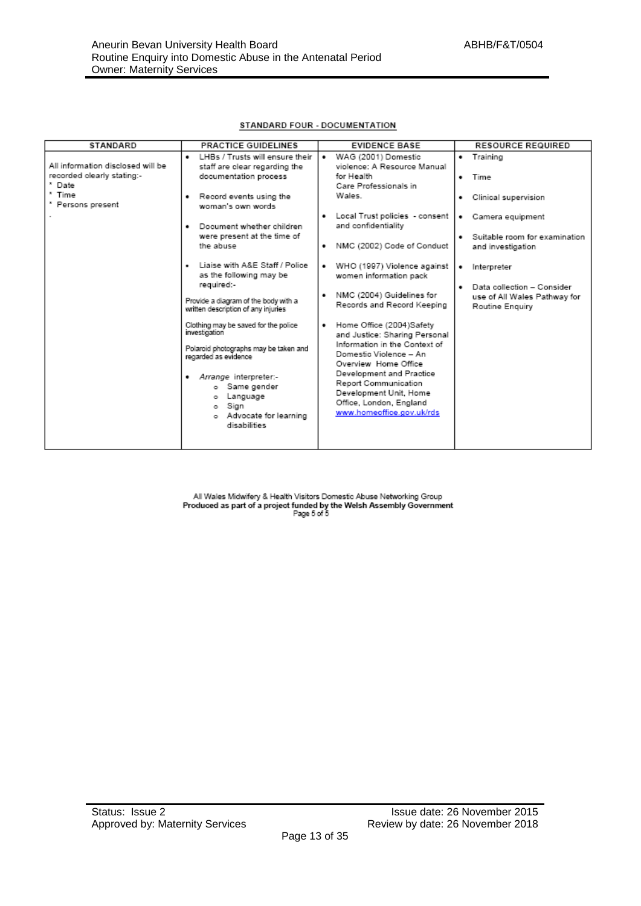| <b>STANDARD</b>                                 | <b>PRACTICE GUIDELINES</b>                                                                                                                                                                                                           | <b>EVIDENCE BASE</b>                                                                                                                                                                                                                                                                            | <b>RESOURCE REQUIRED</b>                                                           |
|-------------------------------------------------|--------------------------------------------------------------------------------------------------------------------------------------------------------------------------------------------------------------------------------------|-------------------------------------------------------------------------------------------------------------------------------------------------------------------------------------------------------------------------------------------------------------------------------------------------|------------------------------------------------------------------------------------|
| All information disclosed will be               | LHBs / Trusts will ensure their<br>staff are clear regarding the                                                                                                                                                                     | WAG (2001) Domestic<br>٠<br>violence: A Resource Manual                                                                                                                                                                                                                                         | Training                                                                           |
| recorded clearly stating:-<br><sup>*</sup> Date | documentation process                                                                                                                                                                                                                | for Health<br>Care Professionals in                                                                                                                                                                                                                                                             | Time<br>. .                                                                        |
| Time<br>* Persons present                       | Record events using the<br>٠<br>woman's own words.                                                                                                                                                                                   | Wales.                                                                                                                                                                                                                                                                                          | Clinical supervision<br>٠                                                          |
|                                                 | Document whether children<br>٠                                                                                                                                                                                                       | Local Trust policies - consent<br>٠<br>and confidentiality                                                                                                                                                                                                                                      | Camera equipment<br>٠                                                              |
|                                                 | were present at the time of<br>the abuse                                                                                                                                                                                             | NMC (2002) Code of Conduct<br>٠                                                                                                                                                                                                                                                                 | Suitable room for examination<br>٠<br>and investigation                            |
|                                                 | Liaise with A&E Staff / Police<br>٠<br>as the following may be                                                                                                                                                                       | WHO (1997) Violence against<br>٠<br>women information pack                                                                                                                                                                                                                                      | Interpreter<br>٠                                                                   |
|                                                 | required:-<br>Provide a diagram of the body with a<br>written description of any injuries                                                                                                                                            | NMC (2004) Guidelines for<br>٠<br>Records and Record Keeping                                                                                                                                                                                                                                    | Data collection - Consider<br>٠<br>use of All Wales Pathway for<br>Routine Enquiry |
|                                                 | Clothing may be saved for the police<br>investigation<br>Polaroid photographs may be taken and<br>regarded as evidence<br>· Arrange interpreter:-<br>Same gender<br>Language<br>Sign<br>۰<br>o Advocate for learning<br>disabilities | Home Office (2004)Safety<br>$\bullet$<br>and Justice: Sharing Personal<br>Information in the Context of<br>Domestic Violence - An<br>Overview Home Office<br>Development and Practice<br>Report Communication<br>Development Unit, Home<br>Office, London, England<br>www.homeoffice.gov.uk/rds |                                                                                    |

All Wales Midwifery & Health Visitors Domestic Abuse Networking Group<br>Produced as part of a project funded by the Welsh Assembly Government<br>Page 5 of 5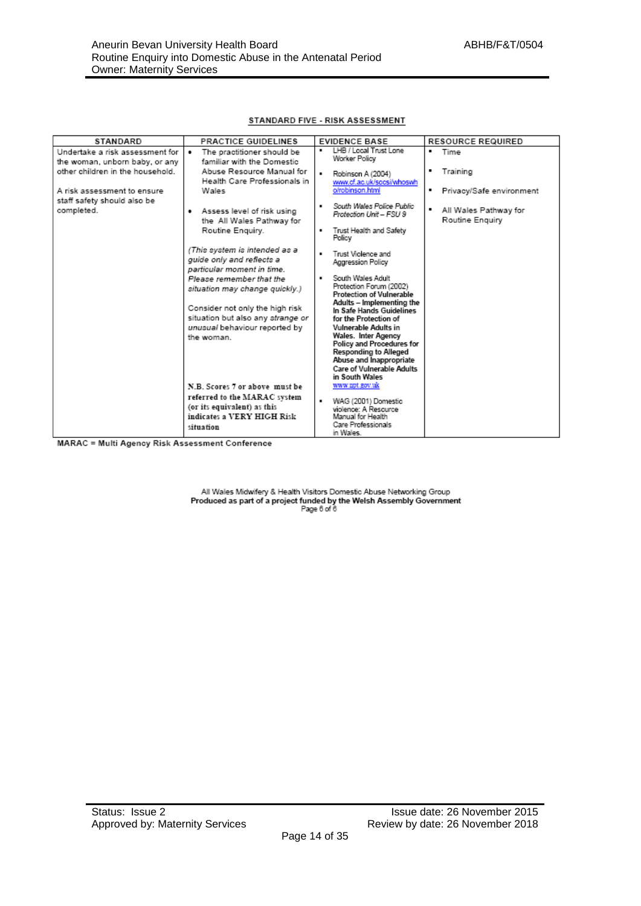#### STANDARD FIVE - RISK ASSESSMENT

| STANDARD                                                                                              | <b>PRACTICE GUIDELINES</b>                                                                             | <b>EVIDENCE BASE</b>                                                                                | <b>RESOURCE REQUIRED</b>                                   |
|-------------------------------------------------------------------------------------------------------|--------------------------------------------------------------------------------------------------------|-----------------------------------------------------------------------------------------------------|------------------------------------------------------------|
| Undertake a risk assessment for<br>the woman, unborn baby, or any<br>other children in the household. | The practitioner should be<br>٠<br>familiar with the Domestic<br>Abuse Resource Manual for             | LHB / Local Trust Lone<br>٠<br>Worker Policy                                                        | ٠<br>Time<br>Training                                      |
| A risk assessment to ensure<br>staff safety should also be                                            | Health Care Professionals in<br>Wales                                                                  | Robinson A (2004)<br>www.cf.ac.uk/socsi/whoswh<br>o/robinson.html                                   | ٠<br>Privacy/Safe environment                              |
| completed.                                                                                            | Assess level of risk using<br>٠<br>the All Wales Pathway for<br>Routine Enquiry.                       | South Wales Police Public<br>٠.<br>Protection Unit - FSU 9<br>Trust Health and Safety<br>٠          | $\blacksquare$<br>All Wales Pathway for<br>Routine Enguiry |
|                                                                                                       |                                                                                                        | Policy                                                                                              |                                                            |
|                                                                                                       | (This system is intended as a<br>quide only and reflects a<br>particular moment in time.               | Trust Violence and<br>Aggression Policy                                                             |                                                            |
|                                                                                                       | Please remember that the<br>situation may change quickly.)                                             | South Wales Adult<br>٠<br>Protection Forum (2002)<br><b>Protection of Vulnerable</b>                |                                                            |
|                                                                                                       | Consider not only the high risk<br>situation but also any strange or                                   | Adults - Implementing the<br>In Safe Hands Guidelines<br>for the Protection of                      |                                                            |
|                                                                                                       | unusual behaviour reported by<br>the woman.                                                            | Vulnerable Adults in<br>Wales. Inter Agency<br>Policy and Procedures for                            |                                                            |
|                                                                                                       |                                                                                                        | <b>Responding to Alleged</b><br>Abuse and Inappropriate<br>Care of Vulnerable Adults                |                                                            |
|                                                                                                       | N.B. Scores 7 or above must be                                                                         | in South Wales<br>www.npt.gov.uk                                                                    |                                                            |
| $\cdots$<br>.                                                                                         | referred to the MARAC system<br>(or its equivalent) as this<br>indicates a VERY HIGH Risk<br>situation | WAG (2001) Domestic<br>violence: A Resource<br>Manual for Health<br>Care Professionals<br>in Wales. |                                                            |

MARAC = Multi Agency Risk Assessment Conference

All Wales Midwifery & Health Visitors Domestic Abuse Networking Group Produced as part of a project funded by the Welsh Assembly Government<br>Produced as part of a project funded by the Welsh Assembly Government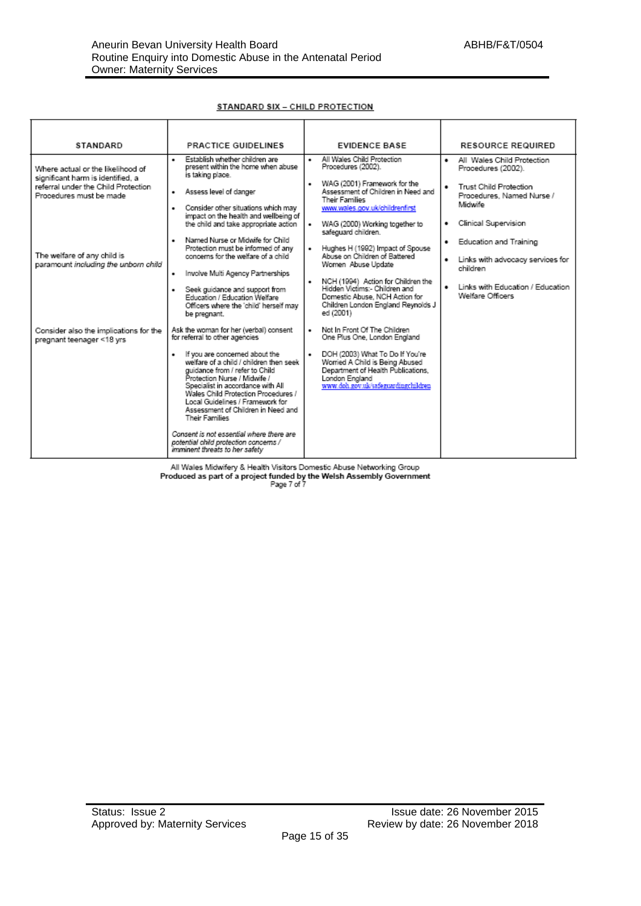| STANDARD                                                                                                                                 | <b>PRACTICE GUIDELINES</b>                                                                                                                                                                                                                                                                                                                                                                                                                                                                                                         | <b>EVIDENCE BASE</b>                                                                                                                                                                                                                                                                                                                 | <b>RESOURCE REQUIRED</b>                                                                                                                                    |
|------------------------------------------------------------------------------------------------------------------------------------------|------------------------------------------------------------------------------------------------------------------------------------------------------------------------------------------------------------------------------------------------------------------------------------------------------------------------------------------------------------------------------------------------------------------------------------------------------------------------------------------------------------------------------------|--------------------------------------------------------------------------------------------------------------------------------------------------------------------------------------------------------------------------------------------------------------------------------------------------------------------------------------|-------------------------------------------------------------------------------------------------------------------------------------------------------------|
| Where actual or the likelihood of<br>significant harm is identified, a<br>referral under the Child Protection<br>Procedures must be made | Establish whether children are<br>٠<br>present within the home when abuse<br>is taking place.<br>· Assess level of danger<br>Consider other situations which may<br>٠<br>impact on the health and wellbeing of                                                                                                                                                                                                                                                                                                                     | All Wales Child Protection<br>٠<br>Procedures (2002).<br>WAG (2001) Framework for the<br>٠<br>Assessment of Children in Need and<br>Their Families<br>www.wales.gov.uk/childrenfirst                                                                                                                                                 | All Wales Child Protection<br>. .<br>Procedures (2002).<br>Trust Child Protection<br>Procedures, Named Nurse /<br>Michwife                                  |
| The welfare of any child is<br>paramount including the unborn child                                                                      | the child and take appropriate action<br>Named Nurse or Midwife for Child<br>٠<br>Protection must be informed of any<br>concerns for the welfare of a child<br>Involve Multi Agency Partnerships<br>٠<br>Seek guidance and support from<br>٠<br>Education / Education Welfare<br>Officers where the 'child' herself may<br>be pregnant.                                                                                                                                                                                            | WAG (2000) Working together to<br>٠<br>safeguard children.<br>Hughes H (1992) Impact of Spouse<br>٠<br>Abuse on Children of Battered<br>Women Abuse Update<br>NCH (1994) Action for Children the<br>$\bullet$<br>Hidden Victims: - Children and<br>Domestic Abuse, NCH Action for<br>Children London England Reynolds J<br>ed (2001) | Clinical Supervision<br>٠<br>Education and Training<br>Links with advocacy services for<br>children<br>Links with Education / Education<br>Welfare Officers |
| Consider also the implications for the<br>pregnant teenager <18 yrs                                                                      | Ask the woman for her (verbal) consent<br>for referral to other agencies<br>If you are concerned about the<br>٠<br>welfare of a child / children then seek<br>quidance from / refer to Child<br>Protection Nurse / Midwife /<br>Specialist in accordance with All<br>Wales Child Protection Procedures /<br>Local Guidelines / Framework for<br>Assessment of Children in Need and<br><b>Their Families</b><br>Consent is not essential where there are<br>potential child protection concerns /<br>imminent threats to her safety | Not In Front Of The Children<br>One Plus One, London England<br>DOH (2003) What To Do If You're<br>$\bullet$<br>Worried A Child is Being Abused<br>Department of Health Publications,<br>London England<br>www.doh.gov.uk/safeguardingchildren                                                                                       |                                                                                                                                                             |

#### STANDARD SIX - CHILD PROTECTION

All Wales Midwifery & Health Visitors Domestic Abuse Networking Group Produced as part of a project funded by the Welsh Assembly Government<br>Produced as part of a project funded by the Welsh Assembly Government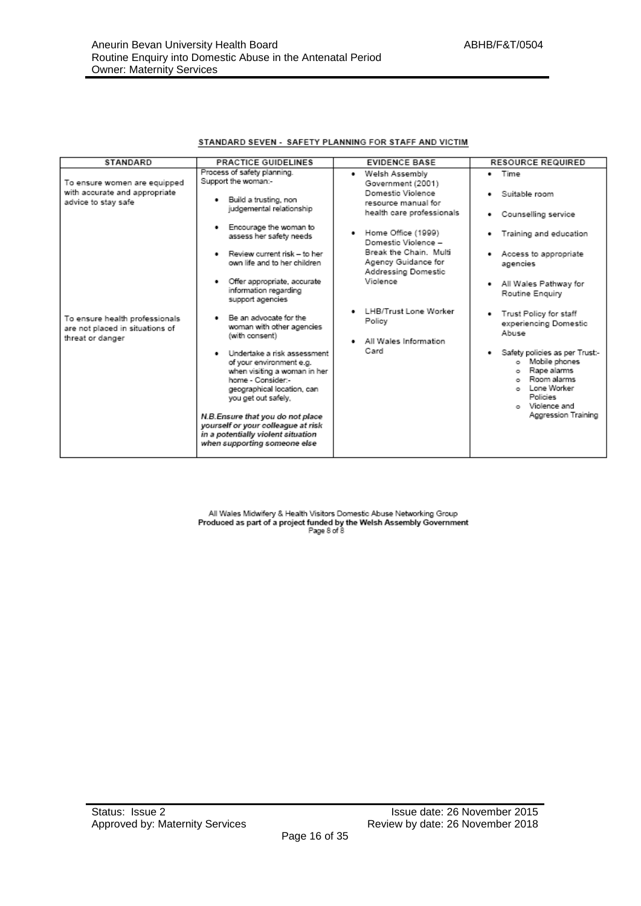#### STANDARD SEVEN - SAFETY PLANNING FOR STAFF AND VICTIM

| <b>STANDARD</b>                                                                       | <b>PRACTICE GUIDELINES</b>                                                                                                                                                                                                                                                                                                                                                                                                                                                                                                                                                                               | <b>EVIDENCE BASE</b>                                                                                                                                                                                | <b>RESOURCE REQUIRED</b>                                                                                                                                                                                                                                                                                                                 |
|---------------------------------------------------------------------------------------|----------------------------------------------------------------------------------------------------------------------------------------------------------------------------------------------------------------------------------------------------------------------------------------------------------------------------------------------------------------------------------------------------------------------------------------------------------------------------------------------------------------------------------------------------------------------------------------------------------|-----------------------------------------------------------------------------------------------------------------------------------------------------------------------------------------------------|------------------------------------------------------------------------------------------------------------------------------------------------------------------------------------------------------------------------------------------------------------------------------------------------------------------------------------------|
| To ensure women are equipped<br>with accurate and appropriate<br>advice to stay safe  | Process of safety planning.<br>Support the woman:-<br>· Build a trusting, non<br>judgemental relationship                                                                                                                                                                                                                                                                                                                                                                                                                                                                                                | Welsh Assembly<br>٠<br>Government (2001)<br>Domestic Violence<br>resource manual for<br>health care professionals                                                                                   | $\bullet$ Time<br>· Suitable room<br>Counselling service                                                                                                                                                                                                                                                                                 |
| To ensure health professionals<br>are not placed in situations of<br>threat or danger | Encourage the woman to<br>٠<br>assess her safety needs<br>Review current risk - to her<br>own life and to her children<br>Offer appropriate, accurate<br>٠<br>information regarding<br>support agencies<br>Be an advocate for the<br>woman with other agencies<br>(with consent)<br>· Undertake a risk assessment<br>of your environment e.g.<br>when visiting a woman in her<br>home - Consider:-<br>geographical location, can<br>you get out safely.<br>N.B. Ensure that you do not place<br>yourself or your colleague at risk<br>in a potentially violent situation<br>when supporting someone else | • Home Office (1999)<br>Domestic Violence -<br>Break the Chain. Multi<br>Agency Guidance for<br>Addressing Domestic<br>Violence<br>LHB/Trust Lone Worker<br>Policy<br>All Wales Information<br>Card | Training and education<br>٠<br>Access to appropriate<br>agencies<br>All Wales Pathway for<br>٠<br>Routine Enquiry<br>Trust Policy for staff<br>experiencing Domestic<br>Abuse<br>Safety policies as per Trust:-<br>Mobile phones<br>o.<br>Rape alarms<br>Room alarms<br>Lone Worker<br>Policies<br>o Violence and<br>Aggression Training |

All Wales Midwifery & Health Visitors Domestic Abuse Networking Group Produced as part of a project funded by the Welsh Assembly Government<br>Page 8 of 8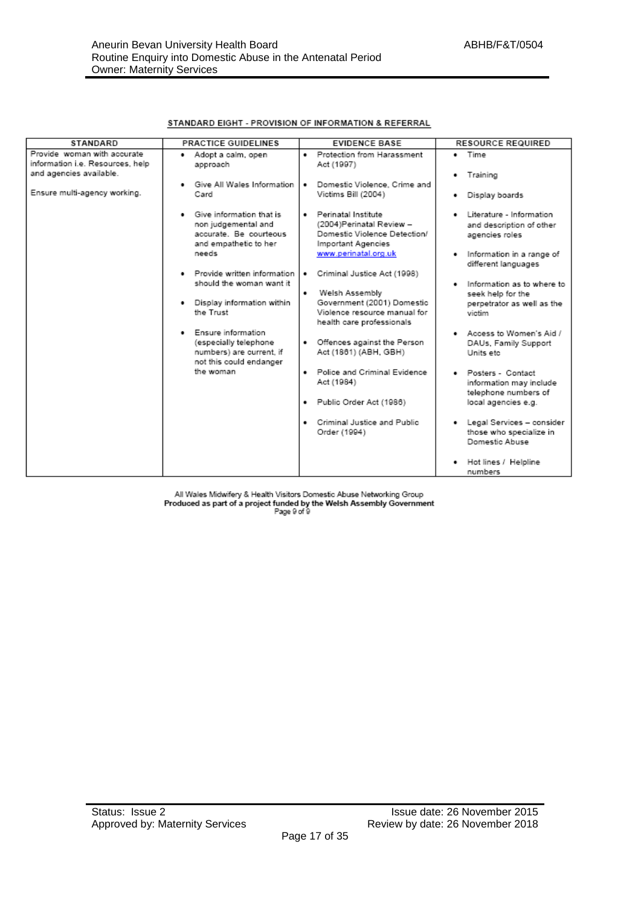|  | STANDARD EIGHT - PROVISION OF INFORMATION & REFERRAL |
|--|------------------------------------------------------|
|  |                                                      |

| <b>STANDARD</b>                                                                            | <b>PRACTICE GUIDELINES</b>                                                                                                                   | <b>EVIDENCE BASE</b>                                                                                                                                              | <b>RESOURCE REQUIRED</b>                                                                                                        |
|--------------------------------------------------------------------------------------------|----------------------------------------------------------------------------------------------------------------------------------------------|-------------------------------------------------------------------------------------------------------------------------------------------------------------------|---------------------------------------------------------------------------------------------------------------------------------|
| Provide woman with accurate<br>information i.e. Resources, help<br>and agencies available. | Adopt a calm, open<br>٠<br>approach                                                                                                          | Protection from Harassment<br>Act (1997)                                                                                                                          | $\bullet$ Time<br>• Training                                                                                                    |
| Ensure multi-agency working.                                                               | Give All Wales Information<br>Card                                                                                                           | Domestic Violence, Crime and<br>$\bullet$<br>Victims Bill (2004)                                                                                                  | Display boards<br>٠                                                                                                             |
|                                                                                            | Give information that is<br>non judgemental and<br>accurate. Be courteous<br>and empathetic to her<br>needs<br>· Provide written information | Perinatal Institute<br>(2004)Perinatal Review -<br>Domestic Violence Detection/<br>Important Agencies<br>www.perinatal.org.uk<br>Criminal Justice Act (1998)<br>٠ | Literature - Information<br>and description of other<br>agencies roles<br>Information in a range of<br>٠<br>different languages |
|                                                                                            | should the woman want it<br>Display information within<br>the Trust                                                                          | Welsh Assembly<br>٠<br>Government (2001) Domestic<br>Violence resource manual for<br>health care professionals                                                    | Information as to where to<br>٠<br>seek help for the<br>perpetrator as well as the<br>victim                                    |
|                                                                                            | Ensure information<br>(especially telephone<br>numbers) are current, if<br>not this could endanger                                           | • Offences against the Person<br>Act (1861) (ABH, GBH)                                                                                                            | . Access to Women's Aid /<br>DAUs, Family Support<br>Units etc.                                                                 |
|                                                                                            | the woman                                                                                                                                    | Police and Criminal Evidence<br>Act (1984)<br>· Public Order Act (1986)                                                                                           | Posters - Contact<br>information may include<br>telephone numbers of<br>local agencies e.g.                                     |
|                                                                                            |                                                                                                                                              | Criminal Justice and Public<br>Order (1994)                                                                                                                       | • Legal Services - consider<br>those who specialize in<br>Domestic Abuse                                                        |
|                                                                                            |                                                                                                                                              |                                                                                                                                                                   | Hot lines / Helpline<br>numbers                                                                                                 |

All Wales Midwifery & Health Visitors Domestic Abuse Networking Group<br>Produced as part of a project funded by the Welsh Assembly Government<br>Page 9 of 9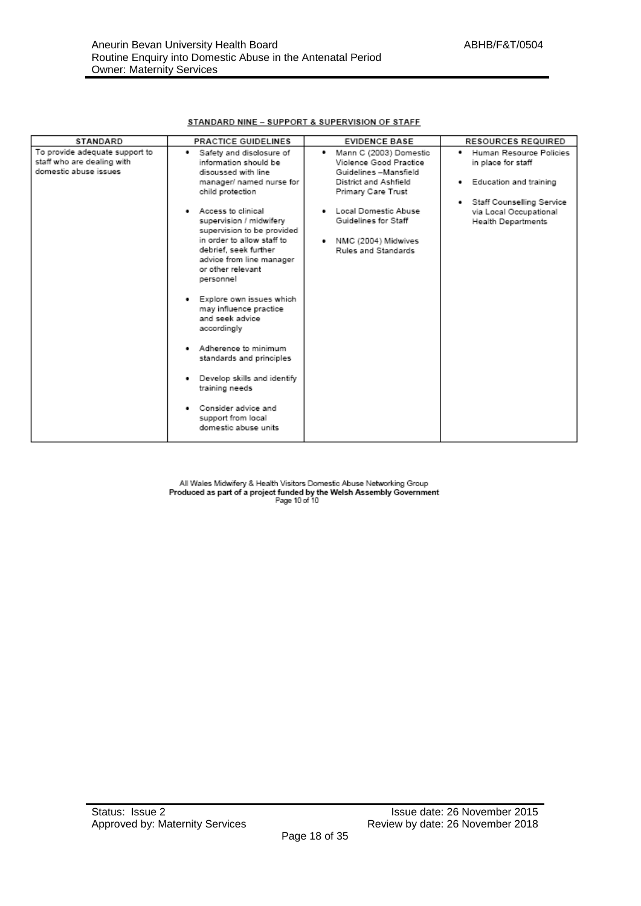#### STANDARD NINE - SUPPORT & SUPERVISION OF STAFF

| STANDARD                                                                              | <b>PRACTICE GUIDELINES</b>                                                                                                                                                                                                                                                                                                                                                         | <b>EVIDENCE BASE</b>                                                                                                     | <b>RESOURCES REQUIRED</b>                                                             |
|---------------------------------------------------------------------------------------|------------------------------------------------------------------------------------------------------------------------------------------------------------------------------------------------------------------------------------------------------------------------------------------------------------------------------------------------------------------------------------|--------------------------------------------------------------------------------------------------------------------------|---------------------------------------------------------------------------------------|
| To provide adequate support to<br>staff who are dealing with<br>domestic abuse issues | Safety and disclosure of<br>٠<br>information should be<br>discussed with line<br>manager/ named nurse for<br>child protection                                                                                                                                                                                                                                                      | Mann C (2003) Domestic<br>Violence Good Practice<br>Guidelines -Mansfield<br>District and Ashfield<br>Primary Care Trust | Human Resource Policies<br>٠<br>in place for staff<br>Education and training<br>٠     |
|                                                                                       | . Access to clinical<br>supervision / midwifery<br>supervision to be provided<br>in order to allow staff to<br>debrief, seek further<br>advice from line manager<br>or other relevant<br>personnel<br>Explore own issues which<br>may influence practice<br>and seek advice<br>accordingly<br>Adherence to minimum<br>standards and principles<br>Develop skills and identify<br>٠ | Local Domestic Abuse<br>Guidelines for Staff<br>NMC (2004) Midwives<br>Rules and Standards                               | Staff Counselling Service<br>٠<br>via Local Occupational<br><b>Health Departments</b> |
|                                                                                       | training needs<br>Consider advice and<br>٠<br>support from local<br>domestic abuse units                                                                                                                                                                                                                                                                                           |                                                                                                                          |                                                                                       |

All Wales Midwifery & Health Visitors Domestic Abuse Networking Group Produced as part of a project funded by the Welsh Assembly Government<br>Produced as part of a project funded by the Welsh Assembly Government<br>Page 10 of 10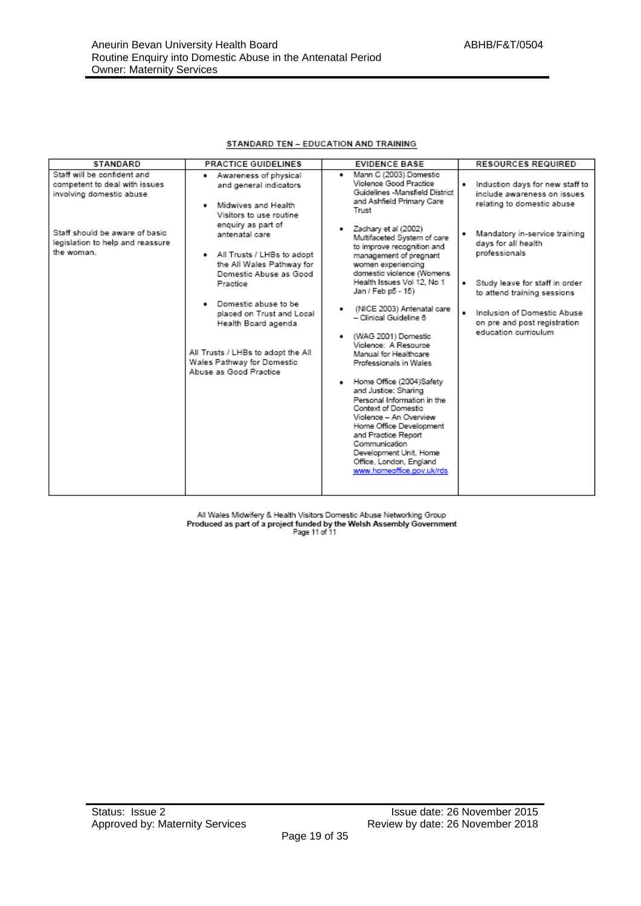#### STANDARD TEN - EDUCATION AND TRAINING

| <b>STANDARD</b>                                                                          | <b>PRACTICE GUIDELINES</b>                                                                                                     | <b>EVIDENCE BASE</b>                                                                                                                                                               | <b>RESOURCES REQUIRED</b>                                                                                 |
|------------------------------------------------------------------------------------------|--------------------------------------------------------------------------------------------------------------------------------|------------------------------------------------------------------------------------------------------------------------------------------------------------------------------------|-----------------------------------------------------------------------------------------------------------|
| Staff will be confident and<br>competent to deal with issues<br>involving domestic abuse | Awareness of physical<br>٠<br>and general indicators<br>Midwives and Health<br>٠<br>Visitors to use routine                    | Mann C (2003) Domestic<br>$\bullet$<br>Violence Good Practice<br>Guidelines -Mansfield District<br>and Ashfield Primary Care<br>Trust                                              | Induction days for new staff to<br>$\bullet$<br>include awareness on issues<br>relating to domestic abuse |
| Staff should be aware of basic<br>legislation to help and reassure<br>the woman.         | enquiry as part of<br>antenatal care<br>All Trusts / LHBs to adopt<br>٠<br>the All Wales Pathway for<br>Domestic Abuse as Good | Zachary et al (2002)<br>Multifaceted System of care<br>to improve recognition and<br>management of pregnant<br>women experiencing<br>domestic violence (Womens                     | Mandatory in-service training<br>days for all health<br>professionals                                     |
|                                                                                          | Practice                                                                                                                       | Health Issues Vol 12, No 1<br>Jan / Feb p5 - 15)                                                                                                                                   | Study leave for staff in order<br>٠<br>to attend training sessions                                        |
|                                                                                          | Domestic abuse to be<br>٠<br>placed on Trust and Local<br>Health Board agenda                                                  | (NICE 2003) Antenatal care<br>- Clinical Guideline 6                                                                                                                               | Inclusion of Domestic Abuse<br>on pre and post registration<br>education curriculum                       |
|                                                                                          | All Trusts / LHBs to adopt the All<br>Wales Pathway for Domestic<br>Abuse as Good Practice                                     | (WAG 2001) Domestic<br>Violence: A Resource<br>Manual for Healthcare<br>Professionals in Wales                                                                                     |                                                                                                           |
|                                                                                          |                                                                                                                                | Home Office (2004)Safety<br>and Justice: Sharing<br>Personal Information in the<br>Context of Domestic<br>Violence - An Overview<br>Home Office Development<br>and Practice Report |                                                                                                           |
|                                                                                          |                                                                                                                                | Communication<br>Development Unit, Home<br>Office, London, England<br>www.homeoffice.gov.uk/rds                                                                                    |                                                                                                           |

All Wales Midwifery & Health Visitors Domestic Abuse Networking Group<br>Produced as part of a project funded by the Welsh Assembly Government<br>Page 11 of 11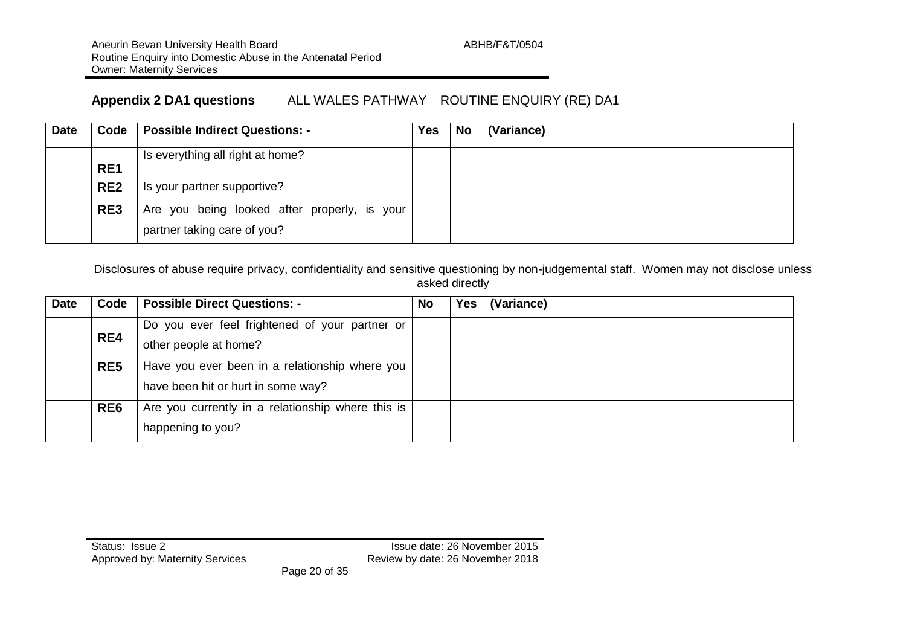### **Appendix 2 DA1 questions** ALL WALES PATHWAY ROUTINE ENQUIRY (RE) DA1

| <b>Date</b> |                 | Code   Possible Indirect Questions: -                                       | Yes | No<br>(Variance) |
|-------------|-----------------|-----------------------------------------------------------------------------|-----|------------------|
|             | RE <sub>1</sub> | Is everything all right at home?                                            |     |                  |
|             | RE <sub>2</sub> | Is your partner supportive?                                                 |     |                  |
|             | RE3             | Are you being looked after properly, is your<br>partner taking care of you? |     |                  |

Disclosures of abuse require privacy, confidentiality and sensitive questioning by non-judgemental staff. Women may not disclose unless asked directly

| <b>Date</b> | Code            | <b>Possible Direct Questions: -</b>               | <b>No</b> | Yes | (Variance) |
|-------------|-----------------|---------------------------------------------------|-----------|-----|------------|
|             |                 | Do you ever feel frightened of your partner or    |           |     |            |
|             | RE4             | other people at home?                             |           |     |            |
|             | RE <sub>5</sub> | Have you ever been in a relationship where you    |           |     |            |
|             |                 | have been hit or hurt in some way?                |           |     |            |
|             | RE <sub>6</sub> | Are you currently in a relationship where this is |           |     |            |
|             |                 | happening to you?                                 |           |     |            |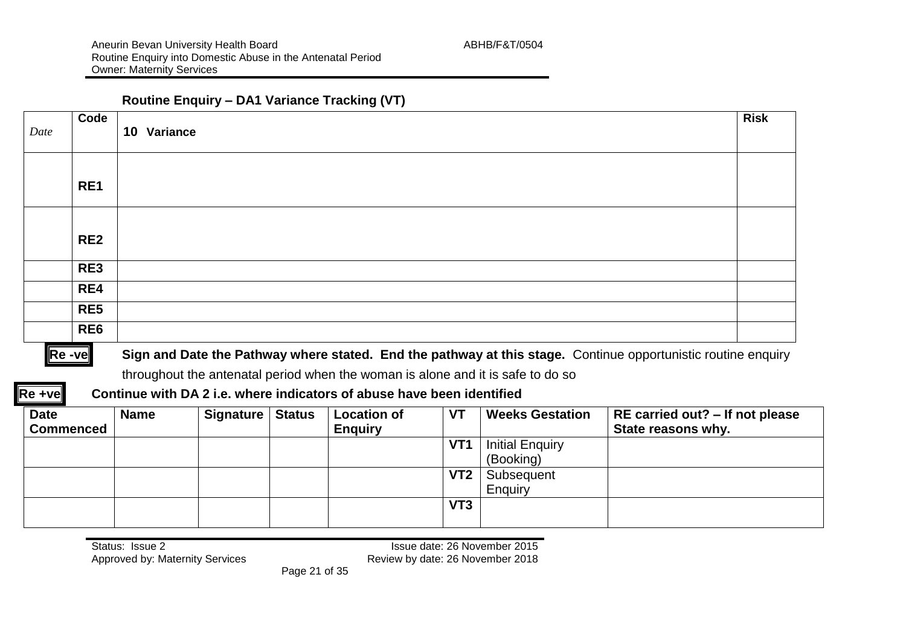#### **Routine Enquiry – DA1 Variance Tracking (VT)**

| Date | Code            | 10 Variance | <b>Risk</b> |
|------|-----------------|-------------|-------------|
|      | RE1             |             |             |
|      | RE <sub>2</sub> |             |             |
|      | RE3             |             |             |
|      | RE4             |             |             |
|      | RE <sub>5</sub> |             |             |
|      | RE <sub>6</sub> |             |             |

#### **Re** -ve Sign and Date the Pathway where stated. End the pathway at this stage. Continue opportunistic routine enquiry

throughout the antenatal period when the woman is alone and it is safe to do so

#### **Re +ve Continue with DA 2 i.e. where indicators of abuse have been identified**

| <b>Date</b><br><b>Commenced</b> | <b>Name</b> | Signature   Status | <b>Location of</b><br><b>Enguiry</b> | VT              | <b>Weeks Gestation</b> | RE carried out? – If not please<br>State reasons why. |
|---------------------------------|-------------|--------------------|--------------------------------------|-----------------|------------------------|-------------------------------------------------------|
|                                 |             |                    |                                      | VT <sub>1</sub> | <b>Initial Enquiry</b> |                                                       |
|                                 |             |                    |                                      |                 | (Booking)              |                                                       |
|                                 |             |                    |                                      | VT <sub>2</sub> | Subsequent             |                                                       |
|                                 |             |                    |                                      |                 | Enquiry                |                                                       |
|                                 |             |                    |                                      | VT <sub>3</sub> |                        |                                                       |
|                                 |             |                    |                                      |                 |                        |                                                       |

Status: Issue 2<br>Approved by: Maternity Services<br>Approved by: Maternity Services<br>Approved by: Maternity Services<br>Approved by: Maternity Services<br>Approved by: Maternity Services Review by date: 26 November 2018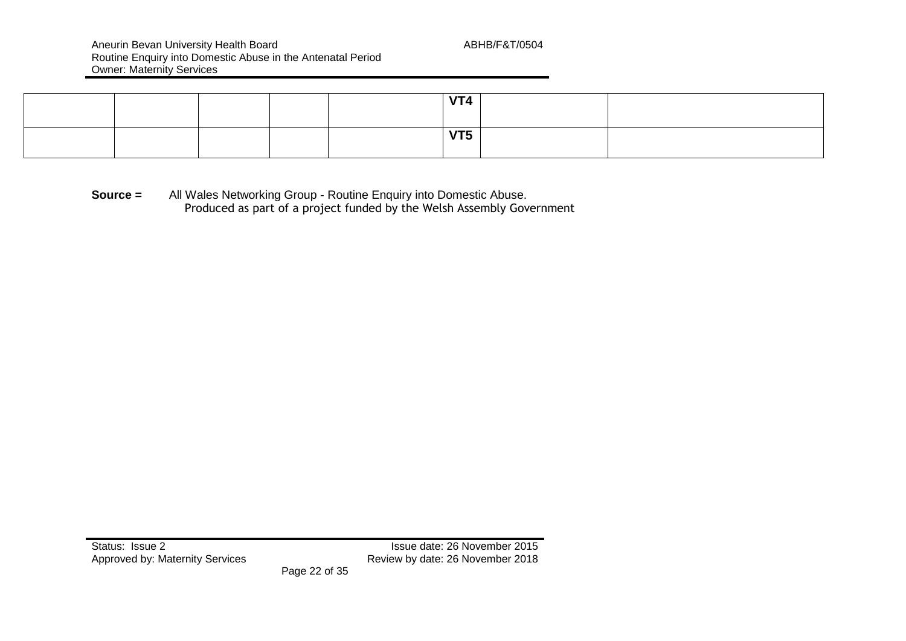Aneurin Bevan University Health Board Aneurin Board ABHB/F&T/0504 Routine Enquiry into Domestic Abuse in the Antenatal Period Owner: Maternity Services

|  |  | $\mathbf{V}$                  |  |
|--|--|-------------------------------|--|
|  |  | $\mathbf{v}$ and $\mathbf{v}$ |  |

**Source =** All Wales Networking Group - Routine Enquiry into Domestic Abuse. Produced as part of a project funded by the Welsh Assembly Government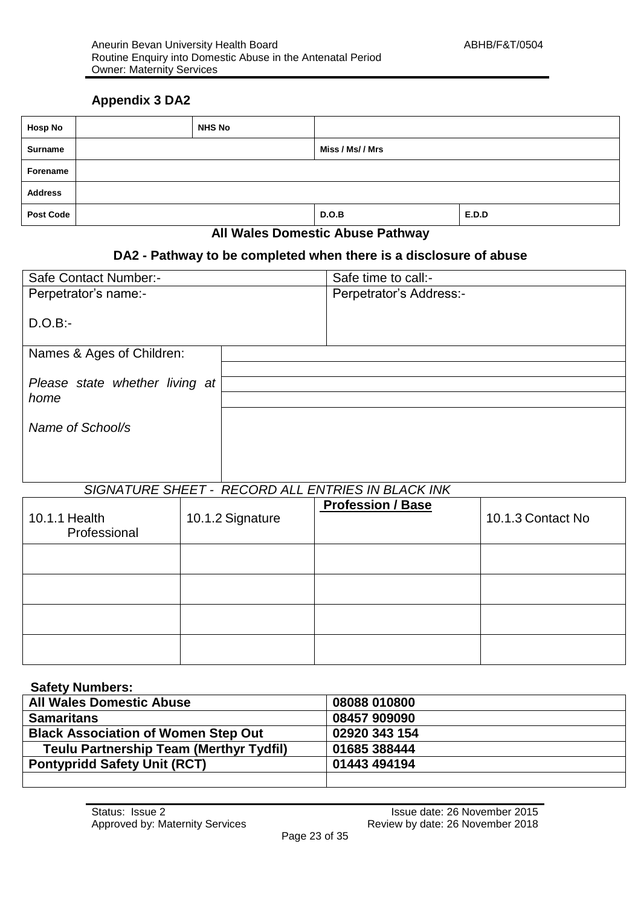#### **Appendix 3 DA2**

| <b>Hosp No</b>   | <b>NHS No</b> |                                           |       |
|------------------|---------------|-------------------------------------------|-------|
| Surname          |               | Miss / Ms/ / Mrs                          |       |
| Forename         |               |                                           |       |
| <b>Address</b>   |               |                                           |       |
| <b>Post Code</b> |               | D.O.B                                     | E.D.D |
|                  | .<br>$\sim$   | $\sim$ $\sim$ $\sim$ $\sim$ $\sim$<br>- - |       |

#### **All Wales Domestic Abuse Pathway**

#### **DA2 - Pathway to be completed when there is a disclosure of abuse**

| Safe Contact Number:-          | Safe time to call:-     |
|--------------------------------|-------------------------|
| Perpetrator's name:-           | Perpetrator's Address:- |
| $D.O.B$ :-                     |                         |
| Names & Ages of Children:      |                         |
|                                |                         |
| Please state whether living at |                         |
| home                           |                         |
| Name of School/s               |                         |
|                                |                         |

#### *SIGNATURE SHEET - RECORD ALL ENTRIES IN BLACK INK*

| 10.1.1 Health<br>Professional | 10.1.2 Signature | <b>Profession / Base</b> | 10.1.3 Contact No |
|-------------------------------|------------------|--------------------------|-------------------|
|                               |                  |                          |                   |
|                               |                  |                          |                   |
|                               |                  |                          |                   |
|                               |                  |                          |                   |

#### **Safety Numbers:**

| <b>All Wales Domestic Abuse</b>                | 08088 010800  |
|------------------------------------------------|---------------|
| <b>Samaritans</b>                              | 08457 909090  |
| <b>Black Association of Women Step Out</b>     | 02920 343 154 |
| <b>Teulu Partnership Team (Merthyr Tydfil)</b> | 01685 388444  |
| <b>Pontypridd Safety Unit (RCT)</b>            | 01443 494194  |
|                                                |               |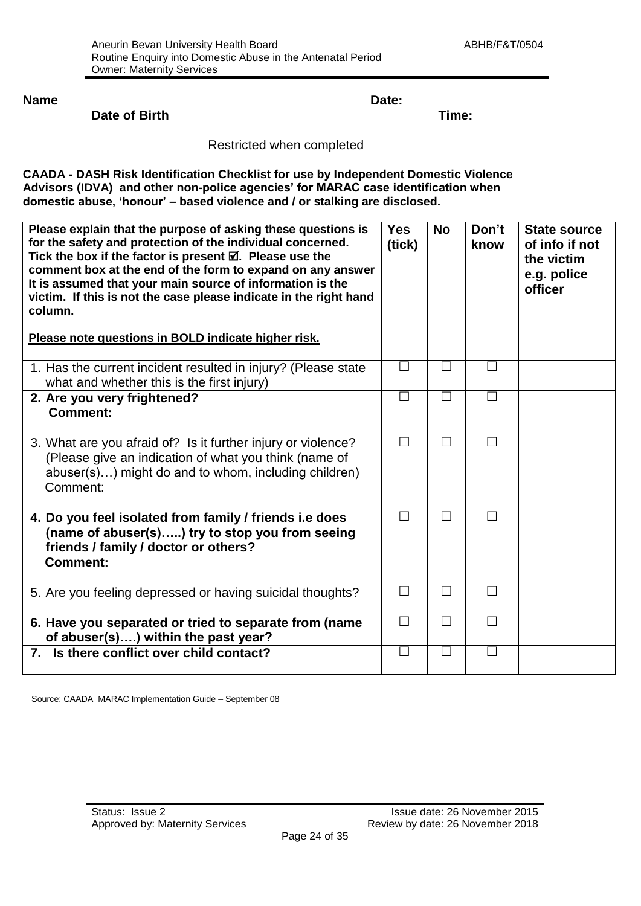**Name Date:**

#### **Date of Birth Time:**

#### Restricted when completed

**CAADA - DASH Risk Identification Checklist for use by Independent Domestic Violence Advisors (IDVA) and other non-police agencies' for MARAC case identification when domestic abuse, 'honour' – based violence and / or stalking are disclosed.**

| Please explain that the purpose of asking these questions is<br>for the safety and protection of the individual concerned.<br>Tick the box if the factor is present $\boxtimes$ . Please use the<br>comment box at the end of the form to expand on any answer<br>It is assumed that your main source of information is the<br>victim. If this is not the case please indicate in the right hand<br>column.<br>Please note questions in BOLD indicate higher risk. | <b>Yes</b><br>(tick) | <b>No</b> | Don't<br>know | <b>State source</b><br>of info if not<br>the victim<br>e.g. police<br>officer |
|--------------------------------------------------------------------------------------------------------------------------------------------------------------------------------------------------------------------------------------------------------------------------------------------------------------------------------------------------------------------------------------------------------------------------------------------------------------------|----------------------|-----------|---------------|-------------------------------------------------------------------------------|
| 1. Has the current incident resulted in injury? (Please state<br>what and whether this is the first injury)                                                                                                                                                                                                                                                                                                                                                        | П                    | П         | $\Box$        |                                                                               |
| 2. Are you very frightened?<br><b>Comment:</b>                                                                                                                                                                                                                                                                                                                                                                                                                     | $\Box$               | $\Box$    |               |                                                                               |
| 3. What are you afraid of? Is it further injury or violence?<br>(Please give an indication of what you think (name of<br>abuser(s)) might do and to whom, including children)<br>Comment:                                                                                                                                                                                                                                                                          | П                    | П         | П             |                                                                               |
| 4. Do you feel isolated from family / friends i.e does<br>(name of abuser(s)) try to stop you from seeing<br>friends / family / doctor or others?<br><b>Comment:</b>                                                                                                                                                                                                                                                                                               |                      | П         |               |                                                                               |
| 5. Are you feeling depressed or having suicidal thoughts?                                                                                                                                                                                                                                                                                                                                                                                                          | $\Box$               | $\Box$    | П             |                                                                               |
| 6. Have you separated or tried to separate from (name<br>of abuser(s)) within the past year?                                                                                                                                                                                                                                                                                                                                                                       | $\Box$               | $\Box$    | П             |                                                                               |
| 7. Is there conflict over child contact?                                                                                                                                                                                                                                                                                                                                                                                                                           | П                    | П         | $\Box$        |                                                                               |

Source: CAADA MARAC Implementation Guide – September 08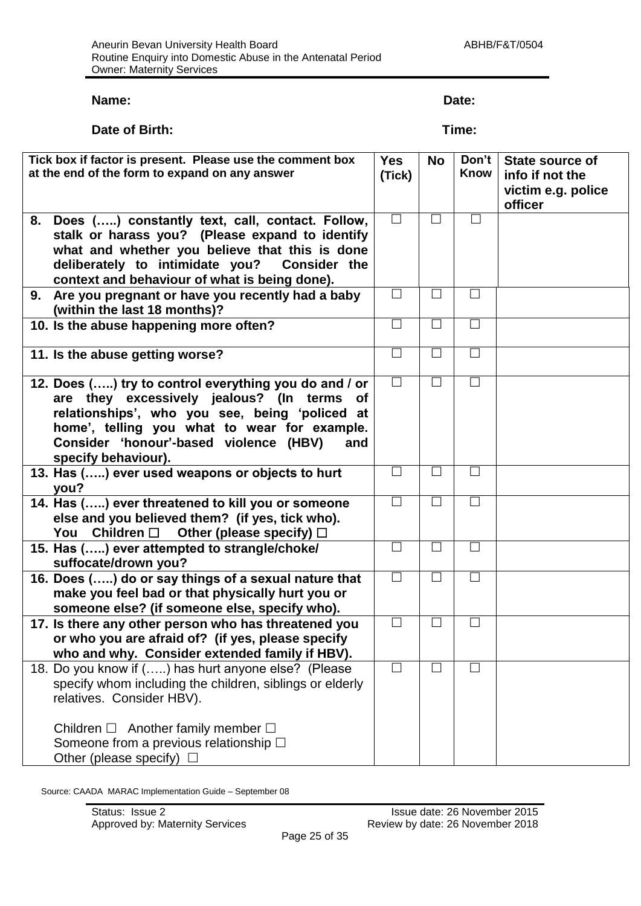#### **Name: Date:**

#### **Date of Birth:** Time:

| Tick box if factor is present. Please use the comment box | <b>Yes</b> | <b>No</b>      | Don't       | <b>State source of</b> |
|-----------------------------------------------------------|------------|----------------|-------------|------------------------|
| at the end of the form to expand on any answer            | (Tick)     |                | <b>Know</b> | info if not the        |
|                                                           |            |                |             | victim e.g. police     |
|                                                           |            |                |             | officer                |
| Does () constantly text, call, contact. Follow,<br>8.     | $\Box$     | $\mathsf{L}$   | ப           |                        |
| stalk or harass you? (Please expand to identify           |            |                |             |                        |
| what and whether you believe that this is done            |            |                |             |                        |
| deliberately to intimidate you?<br><b>Consider the</b>    |            |                |             |                        |
| context and behaviour of what is being done).             |            |                |             |                        |
| 9. Are you pregnant or have you recently had a baby       | $\Box$     | П              | $\Box$      |                        |
| (within the last 18 months)?                              |            |                |             |                        |
| 10. Is the abuse happening more often?                    | $\Box$     | $\Box$         | $\Box$      |                        |
|                                                           | $\Box$     | ٦              | $\Box$      |                        |
| 11. Is the abuse getting worse?                           |            |                |             |                        |
| 12. Does () try to control everything you do and / or     | $\Box$     | $\blacksquare$ | $\Box$      |                        |
| are they excessively jealous? (In terms<br>of             |            |                |             |                        |
| relationships', who you see, being 'policed at            |            |                |             |                        |
| home', telling you what to wear for example.              |            |                |             |                        |
| Consider 'honour'-based violence (HBV)<br>and             |            |                |             |                        |
| specify behaviour).                                       |            |                |             |                        |
| 13. Has () ever used weapons or objects to hurt           | $\Box$     |                | $\Box$      |                        |
| you?                                                      |            |                |             |                        |
| 14. Has () ever threatened to kill you or someone         |            |                | П           |                        |
| else and you believed them? (if yes, tick who).           |            |                |             |                        |
| You Children $\square$ Other (please specify) $\square$   |            |                |             |                        |
| 15. Has () ever attempted to strangle/choke/              | $\Box$     |                | $\Box$      |                        |
| suffocate/drown you?                                      |            |                |             |                        |
| 16. Does () do or say things of a sexual nature that      | $\Box$     | $\Box$         | $\Box$      |                        |
| make you feel bad or that physically hurt you or          |            |                |             |                        |
| someone else? (if someone else, specify who).             |            |                |             |                        |
| 17. Is there any other person who has threatened you      | $\Box$     | $\mathbf{I}$   | $\Box$      |                        |
| or who you are afraid of? (if yes, please specify         |            |                |             |                        |
| who and why. Consider extended family if HBV).            |            |                |             |                        |
| 18. Do you know if () has hurt anyone else? (Please       | $\Box$     | ┓              | $\Box$      |                        |
| specify whom including the children, siblings or elderly  |            |                |             |                        |
| relatives. Consider HBV).                                 |            |                |             |                        |
| Children $\square$ Another family member $\square$        |            |                |             |                        |
| Someone from a previous relationship $\square$            |            |                |             |                        |
| Other (please specify) $\Box$                             |            |                |             |                        |
|                                                           |            |                |             |                        |

Source: CAADA MARAC Implementation Guide – September 08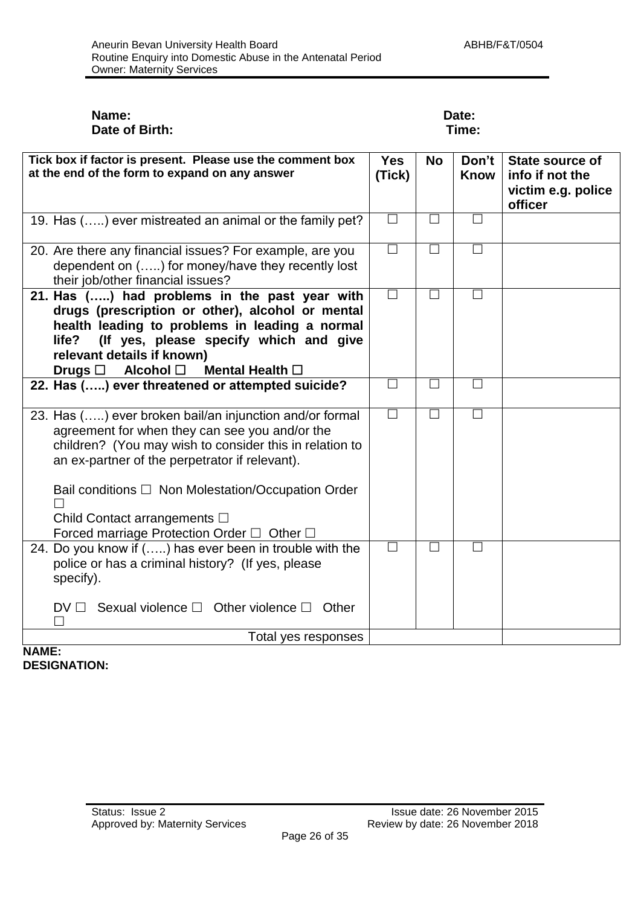#### **Name: Date: Date of Birth:** Time:

| Tick box if factor is present. Please use the comment box                                                                                                                                                                                                                                            | <b>Yes</b> | <b>No</b> | Don't        | State source of                                  |
|------------------------------------------------------------------------------------------------------------------------------------------------------------------------------------------------------------------------------------------------------------------------------------------------------|------------|-----------|--------------|--------------------------------------------------|
| at the end of the form to expand on any answer                                                                                                                                                                                                                                                       | (Tick)     |           | <b>Know</b>  | info if not the<br>victim e.g. police<br>officer |
| 19. Has () ever mistreated an animal or the family pet?                                                                                                                                                                                                                                              | $\Box$     | П         |              |                                                  |
| 20. Are there any financial issues? For example, are you<br>dependent on () for money/have they recently lost<br>their job/other financial issues?                                                                                                                                                   | $\Box$     | $\Box$    | $\mathsf{L}$ |                                                  |
| 21. Has () had problems in the past year with<br>drugs (prescription or other), alcohol or mental<br>health leading to problems in leading a normal<br>(If yes, please specify which and give<br>life?<br>relevant details if known)<br>Drugs $\square$ Alcohol $\square$<br>Mental Health $\square$ | $\Box$     | $\Box$    | $\Box$       |                                                  |
| 22. Has () ever threatened or attempted suicide?                                                                                                                                                                                                                                                     | □          | П         | $\perp$      |                                                  |
| 23. Has () ever broken bail/an injunction and/or formal<br>agreement for when they can see you and/or the<br>children? (You may wish to consider this in relation to<br>an ex-partner of the perpetrator if relevant).<br>Bail conditions □ Non Molestation/Occupation Order                         | $\Box$     | $\Box$    | $\mathsf{L}$ |                                                  |
| Child Contact arrangements □<br>Forced marriage Protection Order $\Box$ Other $\Box$                                                                                                                                                                                                                 |            |           |              |                                                  |
| 24. Do you know if () has ever been in trouble with the<br>police or has a criminal history? (If yes, please<br>specify).                                                                                                                                                                            | П          | П         | П            |                                                  |
| Sexual violence $\square$ Other violence $\square$ Other<br>$DV \Box$                                                                                                                                                                                                                                |            |           |              |                                                  |
| Total yes responses                                                                                                                                                                                                                                                                                  |            |           |              |                                                  |

#### **NAME: DESIGNATION:**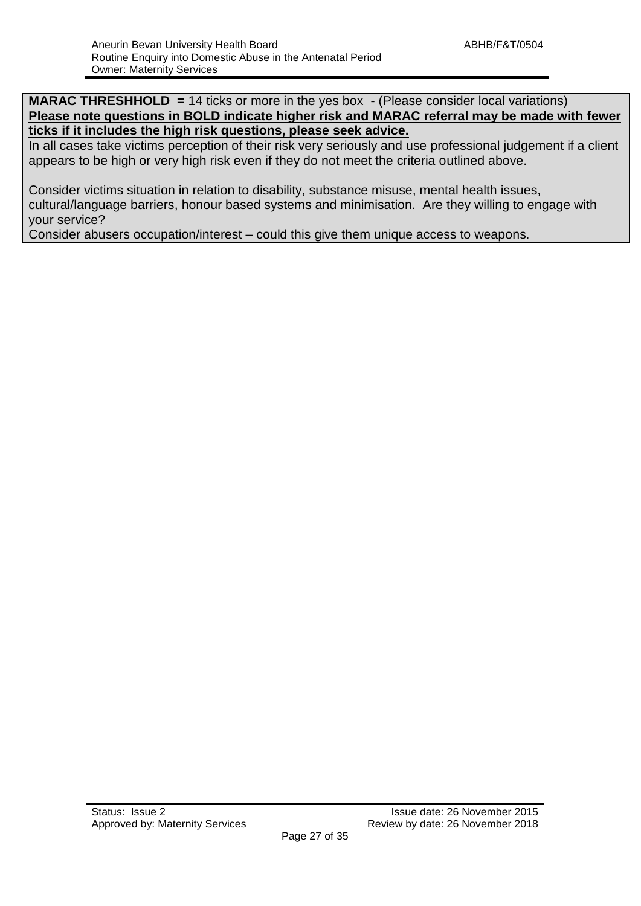**MARAC THRESHHOLD = 14 ticks or more in the yes box - (Please consider local variations) Please note questions in BOLD indicate higher risk and MARAC referral may be made with fewer ticks if it includes the high risk questions, please seek advice.**

In all cases take victims perception of their risk very seriously and use professional judgement if a client appears to be high or very high risk even if they do not meet the criteria outlined above.

Consider victims situation in relation to disability, substance misuse, mental health issues, cultural/language barriers, honour based systems and minimisation. Are they willing to engage with your service?

Consider abusers occupation/interest – could this give them unique access to weapons.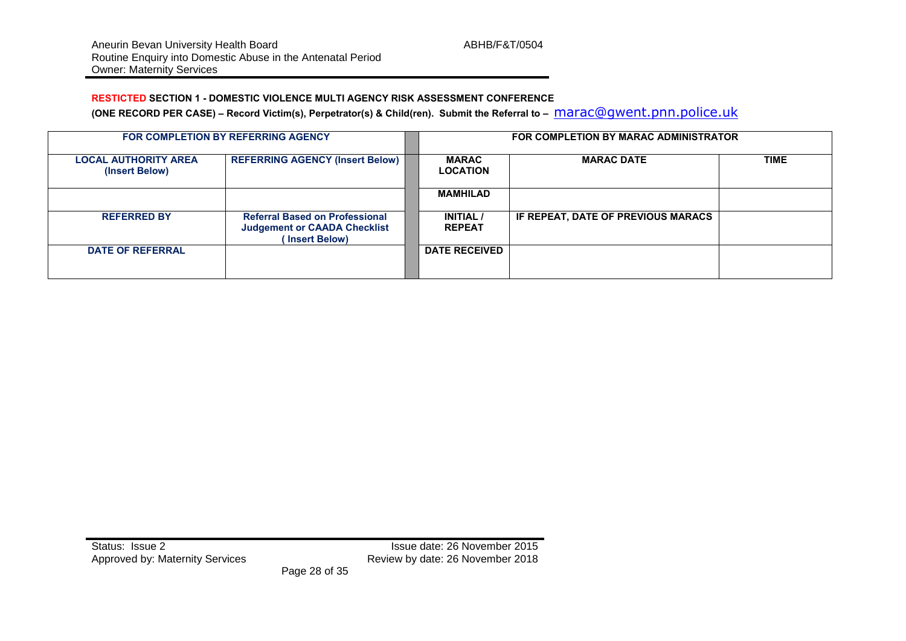#### **RESTICTED SECTION 1 - DOMESTIC VIOLENCE MULTI AGENCY RISK ASSESSMENT CONFERENCE**

**(ONE RECORD PER CASE) – Record Victim(s), Perpetrator(s) & Child(ren). Submit the Referral to –** [marac@gwent.pnn.police.uk](mailto:marac@gwent.pnn.police.uk)

|                                               | <b>FOR COMPLETION BY REFERRING AGENCY</b>                                                      | FOR COMPLETION BY MARAC ADMINISTRATOR |                                    |      |  |  |
|-----------------------------------------------|------------------------------------------------------------------------------------------------|---------------------------------------|------------------------------------|------|--|--|
| <b>LOCAL AUTHORITY AREA</b><br>(Insert Below) | <b>REFERRING AGENCY (Insert Below)</b>                                                         | <b>MARAC</b><br><b>LOCATION</b>       | <b>MARAC DATE</b>                  | TIME |  |  |
|                                               |                                                                                                | <b>MAMHILAD</b>                       |                                    |      |  |  |
| <b>REFERRED BY</b>                            | <b>Referral Based on Professional</b><br><b>Judgement or CAADA Checklist</b><br>(Insert Below) | <b>INITIAL</b> /<br><b>REPEAT</b>     | IF REPEAT, DATE OF PREVIOUS MARACS |      |  |  |
| <b>DATE OF REFERRAL</b>                       |                                                                                                | <b>DATE RECEIVED</b>                  |                                    |      |  |  |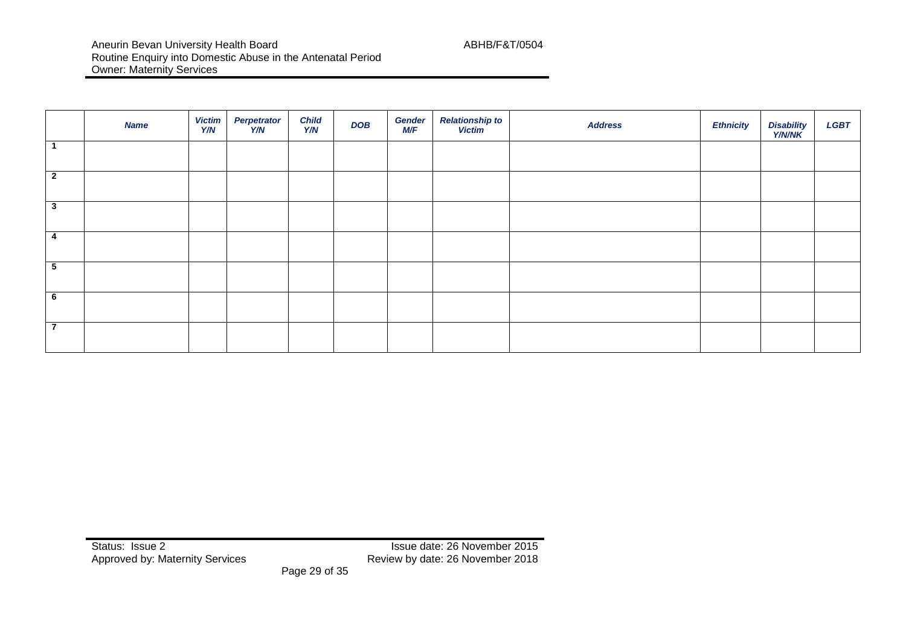|                          | <b>Name</b> | <b>Victim</b><br>Y/N | Perpetrator<br>`Y/N | <b>Child</b><br>Y/N | <b>DOB</b> | <b>Gender</b><br>M/F | <b>Relationship to</b><br>Victim | <b>Address</b> | <b>Ethnicity</b> | Disability<br>Y/N/NK | <b>LGBT</b> |
|--------------------------|-------------|----------------------|---------------------|---------------------|------------|----------------------|----------------------------------|----------------|------------------|----------------------|-------------|
|                          |             |                      |                     |                     |            |                      |                                  |                |                  |                      |             |
| $\overline{2}$           |             |                      |                     |                     |            |                      |                                  |                |                  |                      |             |
| $\mathbf{3}$             |             |                      |                     |                     |            |                      |                                  |                |                  |                      |             |
| 4                        |             |                      |                     |                     |            |                      |                                  |                |                  |                      |             |
| 5                        |             |                      |                     |                     |            |                      |                                  |                |                  |                      |             |
| 6                        |             |                      |                     |                     |            |                      |                                  |                |                  |                      |             |
| $\overline{\phantom{a}}$ |             |                      |                     |                     |            |                      |                                  |                |                  |                      |             |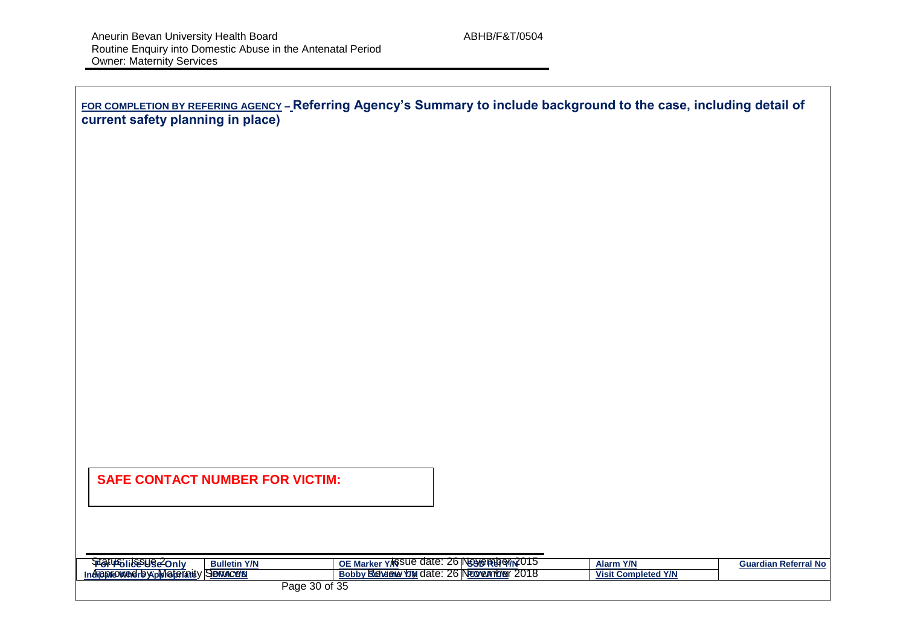| FOR COMPLETION BY REFERING AGENCY - Referring Agency's Summary to include background to the case, including detail of |  |
|-----------------------------------------------------------------------------------------------------------------------|--|
| current safety planning in place)                                                                                     |  |

### **SAFE CONTACT NUMBER FOR VICTIM:**

|                                                            | ----                                                                               |                            |                    |
|------------------------------------------------------------|------------------------------------------------------------------------------------|----------------------------|--------------------|
| <b>Aghaeligenes</b><br><b>Bulletin Y/N</b><br><b>Only</b>  | T: 26 NGGAG RUI ON 2015<br><b>⋅ v/s</b> sue date:<br>OE Ma<br><b>Aarke</b><br>יו ו | <b>V/A</b><br><b>Alarm</b> | ırdian Referral No |
| / Semace's<br><b>MEDITE ADDITION</b><br><b>In APPROVED</b> | . 26 Neovembre<br>2018<br><b>JUV RENGENO VALUE</b><br>∦date:<br>Bobb               | <b>Visit Completed Y/N</b> |                    |
| 300                                                        | $\sim$ f 25<br>?∩<br>age 30 or 35                                                  |                            |                    |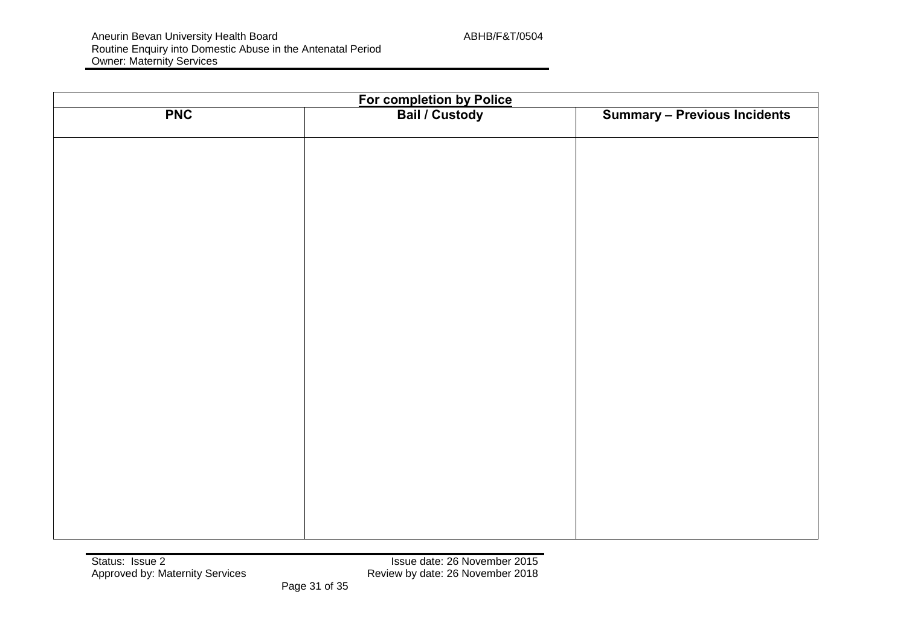| <b>PNC</b> | For completion by Police<br>Bail / Custody | <b>Summary - Previous Incidents</b> |  |  |  |  |
|------------|--------------------------------------------|-------------------------------------|--|--|--|--|
|            |                                            |                                     |  |  |  |  |
|            |                                            |                                     |  |  |  |  |
|            |                                            |                                     |  |  |  |  |
|            |                                            |                                     |  |  |  |  |
|            |                                            |                                     |  |  |  |  |
|            |                                            |                                     |  |  |  |  |
|            |                                            |                                     |  |  |  |  |
|            |                                            |                                     |  |  |  |  |
|            |                                            |                                     |  |  |  |  |
|            |                                            |                                     |  |  |  |  |
|            |                                            |                                     |  |  |  |  |
|            |                                            |                                     |  |  |  |  |
|            |                                            |                                     |  |  |  |  |
|            |                                            |                                     |  |  |  |  |
|            |                                            |                                     |  |  |  |  |
|            |                                            |                                     |  |  |  |  |
|            |                                            |                                     |  |  |  |  |
|            |                                            |                                     |  |  |  |  |
|            |                                            |                                     |  |  |  |  |
|            |                                            |                                     |  |  |  |  |
|            |                                            |                                     |  |  |  |  |
|            |                                            |                                     |  |  |  |  |
|            |                                            |                                     |  |  |  |  |
|            |                                            |                                     |  |  |  |  |
|            |                                            |                                     |  |  |  |  |
|            |                                            |                                     |  |  |  |  |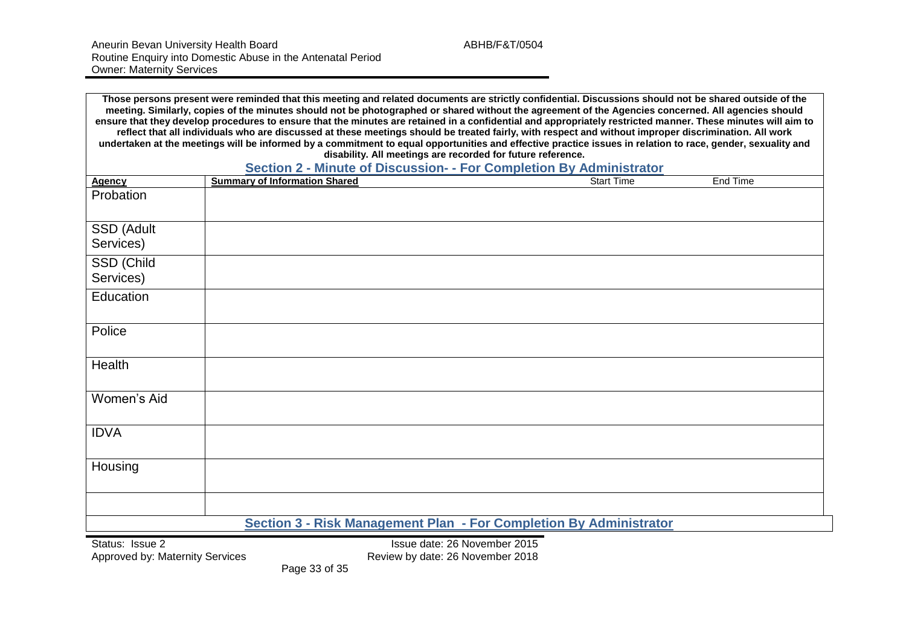|               | Those persons present were reminded that this meeting and related documents are strictly confidential. Discussions should not be shared outside of the<br>meeting. Similarly, copies of the minutes should not be photographed or shared without the agreement of the Agencies concerned. All agencies should<br>ensure that they develop procedures to ensure that the minutes are retained in a confidential and appropriately restricted manner. These minutes will aim to<br>reflect that all individuals who are discussed at these meetings should be treated fairly, with respect and without improper discrimination. All work<br>undertaken at the meetings will be informed by a commitment to equal opportunities and effective practice issues in relation to race, gender, sexuality and<br>disability. All meetings are recorded for future reference.<br>Section 2 - Minute of Discussion- - For Completion By Administrator |          |
|---------------|---------------------------------------------------------------------------------------------------------------------------------------------------------------------------------------------------------------------------------------------------------------------------------------------------------------------------------------------------------------------------------------------------------------------------------------------------------------------------------------------------------------------------------------------------------------------------------------------------------------------------------------------------------------------------------------------------------------------------------------------------------------------------------------------------------------------------------------------------------------------------------------------------------------------------------------------|----------|
| <b>Agency</b> | <b>Summary of Information Shared</b><br><b>Start Time</b>                                                                                                                                                                                                                                                                                                                                                                                                                                                                                                                                                                                                                                                                                                                                                                                                                                                                                   | End Time |
| Probation     |                                                                                                                                                                                                                                                                                                                                                                                                                                                                                                                                                                                                                                                                                                                                                                                                                                                                                                                                             |          |
| SSD (Adult    |                                                                                                                                                                                                                                                                                                                                                                                                                                                                                                                                                                                                                                                                                                                                                                                                                                                                                                                                             |          |
| Services)     |                                                                                                                                                                                                                                                                                                                                                                                                                                                                                                                                                                                                                                                                                                                                                                                                                                                                                                                                             |          |
| SSD (Child    |                                                                                                                                                                                                                                                                                                                                                                                                                                                                                                                                                                                                                                                                                                                                                                                                                                                                                                                                             |          |
| Services)     |                                                                                                                                                                                                                                                                                                                                                                                                                                                                                                                                                                                                                                                                                                                                                                                                                                                                                                                                             |          |
| Education     |                                                                                                                                                                                                                                                                                                                                                                                                                                                                                                                                                                                                                                                                                                                                                                                                                                                                                                                                             |          |
| Police        |                                                                                                                                                                                                                                                                                                                                                                                                                                                                                                                                                                                                                                                                                                                                                                                                                                                                                                                                             |          |
| Health        |                                                                                                                                                                                                                                                                                                                                                                                                                                                                                                                                                                                                                                                                                                                                                                                                                                                                                                                                             |          |
| Women's Aid   |                                                                                                                                                                                                                                                                                                                                                                                                                                                                                                                                                                                                                                                                                                                                                                                                                                                                                                                                             |          |
| <b>IDVA</b>   |                                                                                                                                                                                                                                                                                                                                                                                                                                                                                                                                                                                                                                                                                                                                                                                                                                                                                                                                             |          |
| Housing       |                                                                                                                                                                                                                                                                                                                                                                                                                                                                                                                                                                                                                                                                                                                                                                                                                                                                                                                                             |          |
|               |                                                                                                                                                                                                                                                                                                                                                                                                                                                                                                                                                                                                                                                                                                                                                                                                                                                                                                                                             |          |
|               | Section 3 - Risk Management Plan - For Completion By Administrator                                                                                                                                                                                                                                                                                                                                                                                                                                                                                                                                                                                                                                                                                                                                                                                                                                                                          |          |

Status: Issue 2<br>Approved by: Maternity Services<br>Approved by: Maternity Services<br>Approved by: Maternity Services<br>Approved by: Maternity Services Review by date: 26 November 2018

Page 33 of 35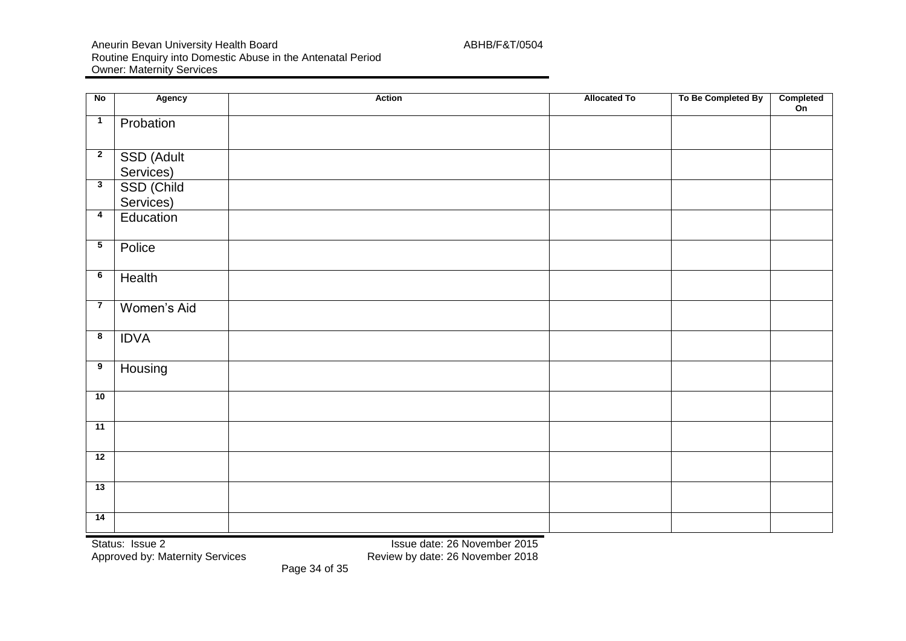Aneurin Bevan University Health Board ABHB/F&T/0504 Routine Enquiry into Domestic Abuse in the Antenatal Period Owner: Maternity Services

| No                      | <b>Agency</b>           | <b>Action</b> | <b>Allocated To</b> | To Be Completed By | Completed<br>On |
|-------------------------|-------------------------|---------------|---------------------|--------------------|-----------------|
| $\overline{1}$          | Probation               |               |                     |                    |                 |
| $\overline{2}$          | SSD (Adult<br>Services) |               |                     |                    |                 |
| $\overline{\mathbf{3}}$ | SSD (Child<br>Services) |               |                     |                    |                 |
| $\overline{\mathbf{4}}$ | Education               |               |                     |                    |                 |
| $5\phantom{.0}$         | Police                  |               |                     |                    |                 |
| 6                       | Health                  |               |                     |                    |                 |
| $\overline{7}$          | Women's Aid             |               |                     |                    |                 |
| 8                       | <b>IDVA</b>             |               |                     |                    |                 |
| $\overline{9}$          | Housing                 |               |                     |                    |                 |
| 10                      |                         |               |                     |                    |                 |
| 11                      |                         |               |                     |                    |                 |
| 12                      |                         |               |                     |                    |                 |
| 13                      |                         |               |                     |                    |                 |
| 14                      |                         |               |                     |                    |                 |

Status: Issue 2<br>Approved by: Maternity Services<br>Approved by: Maternity Services<br>Approved by: Maternity Services<br>All Community Services<br>Approved by: Maternity Services

Review by date: 26 November 2018

Page 34 of 35